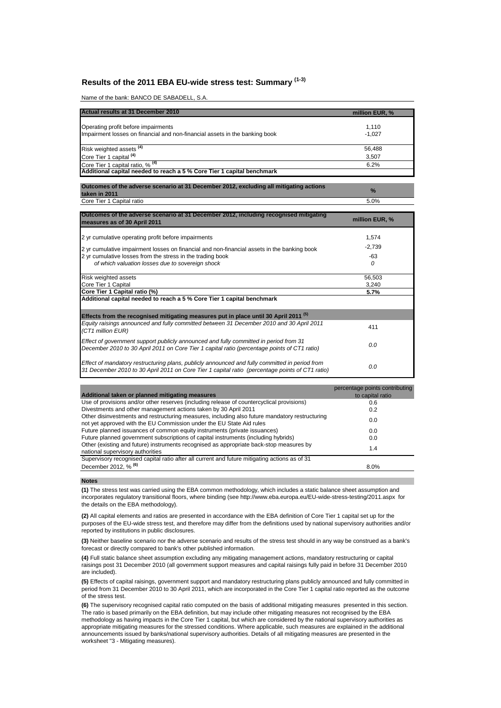# **Results of the 2011 EBA EU-wide stress test: Summary (1-3)**

Name of the bank: BANCO DE SABADELL, S.A.

| Actual results at 31 December 2010                                          | million EUR, % |
|-----------------------------------------------------------------------------|----------------|
| Operating profit before impairments                                         | 1,110          |
| Impairment losses on financial and non-financial assets in the banking book | $-1.027$       |
|                                                                             | 56,488         |
| Risk weighted assets <sup>(4)</sup><br>Core Tier 1 capital <sup>(4)</sup>   | 3,507          |
| Core Tier 1 capital ratio, % <sup>(4)</sup>                                 | 6.2%           |
| Additional capital needed to reach a 5 % Core Tier 1 capital benchmark      |                |

**Outcomes of the adverse scenario at 31 December 2012, excluding all mitigating actions taken in 2011 % Core Tier 1 Capital ratio** 5.0%

| Outcomes of the adverse scenario at 31 December 2012, including recognised mitigating<br>measures as of 30 April 2011                                                                             | million EUR, % |
|---------------------------------------------------------------------------------------------------------------------------------------------------------------------------------------------------|----------------|
| 2 yr cumulative operating profit before impairments                                                                                                                                               | 1,574          |
| 2 yr cumulative impairment losses on financial and non-financial assets in the banking book                                                                                                       | $-2,739$       |
| 2 yr cumulative losses from the stress in the trading book<br>of which valuation losses due to sovereign shock                                                                                    | -63<br>0       |
| <b>Risk weighted assets</b>                                                                                                                                                                       | 56,503         |
| Core Tier 1 Capital<br>Core Tier 1 Capital ratio (%)                                                                                                                                              | 3.240<br>5.7%  |
| Additional capital needed to reach a 5 % Core Tier 1 capital benchmark<br>Effects from the recognised mitigating measures put in place until 30 April 2011 <sup>(5)</sup>                         |                |
| Equity raisings announced and fully committed between 31 December 2010 and 30 April 2011<br>(CT1 million EUR)                                                                                     | 411            |
| Effect of government support publicly announced and fully committed in period from 31<br>December 2010 to 30 April 2011 on Core Tier 1 capital ratio (percentage points of CT1 ratio)             | 0.0            |
| Effect of mandatory restructuring plans, publicly announced and fully committed in period from<br>31 December 2010 to 30 April 2011 on Core Tier 1 capital ratio (percentage points of CT1 ratio) | 0.0            |

| Additional taken or planned mitigating measures                                                                                                                        | percentage points contributing<br>to capital ratio |
|------------------------------------------------------------------------------------------------------------------------------------------------------------------------|----------------------------------------------------|
| Use of provisions and/or other reserves (including release of countercyclical provisions)                                                                              | 0.6                                                |
| Divestments and other management actions taken by 30 April 2011                                                                                                        | 0.2                                                |
| Other disinvestments and restructuring measures, including also future mandatory restructuring<br>not yet approved with the EU Commission under the EU State Aid rules | 0.0                                                |
| Future planned issuances of common equity instruments (private issuances)                                                                                              | 0.0                                                |
| Future planned government subscriptions of capital instruments (including hybrids)                                                                                     | 0.0                                                |
| Other (existing and future) instruments recognised as appropriate back-stop measures by<br>national supervisory authorities                                            | 1.4                                                |
| Supervisory recognised capital ratio after all current and future mitigating actions as of 31                                                                          |                                                    |
| December 2012. % <sup>(6)</sup>                                                                                                                                        | 8.0%                                               |

### **Notes**

**(1)** The stress test was carried using the EBA common methodology, which includes a static balance sheet assumption and incorporates regulatory transitional floors, where binding (see http://www.eba.europa.eu/EU-wide-stress-testing/2011.aspx for the details on the EBA methodology).

**(2)** All capital elements and ratios are presented in accordance with the EBA definition of Core Tier 1 capital set up for the purposes of the EU-wide stress test, and therefore may differ from the definitions used by national supervisory authorities and/or reported by institutions in public disclosures.

**(3)** Neither baseline scenario nor the adverse scenario and results of the stress test should in any way be construed as a bank's forecast or directly compared to bank's other published information.

**(4)** Full static balance sheet assumption excluding any mitigating management actions, mandatory restructuring or capital raisings post 31 December 2010 (all government support measures and capital raisings fully paid in before 31 December 2010 are included).

**(5)** Effects of capital raisings, government support and mandatory restructuring plans publicly announced and fully committed in period from 31 December 2010 to 30 April 2011, which are incorporated in the Core Tier 1 capital ratio reported as the outcome of the stress test.

**(6)** The supervisory recognised capital ratio computed on the basis of additional mitigating measures presented in this section. The ratio is based primarily on the EBA definition, but may include other mitigating measures not recognised by the EBA methodology as having impacts in the Core Tier 1 capital, but which are considered by the national supervisory authorities as appropriate mitigating measures for the stressed conditions. Where applicable, such measures are explained in the additional announcements issued by banks/national supervisory authorities. Details of all mitigating measures are presented in the worksheet "3 - Mitigating measures).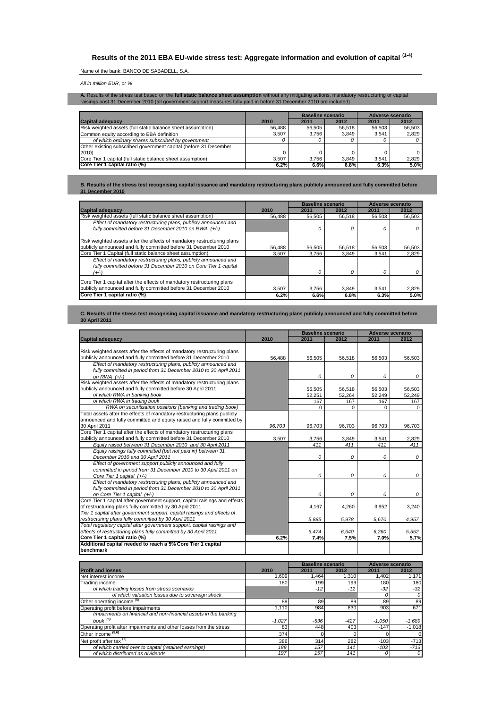# **Results of the 2011 EBA EU-wide stress test: Aggregate information and evolution of capital (1-4)**

## Name of the bank: BANCO DE SABADELL, S.A.

*All in million EUR, or %*

**A**. Results of the stress test based on the **full static balance sheet assumption** without any mitigating actions, mandatory restructuring or capital<br>raisings post 31 December 2010 (all government support measures fully p

|                                                                  |        | <b>Baseline scenario</b> |        | Adverse scenario |        |
|------------------------------------------------------------------|--------|--------------------------|--------|------------------|--------|
| <b>Capital adequacy</b>                                          | 2010   | 2011                     | 2012   | 2011             | 2012   |
| Risk weighted assets (full static balance sheet assumption)      | 56.488 | 56.505                   | 56.518 | 56.503           | 56,503 |
| Common equity according to EBA definition                        | 3.507  | 3.756                    | 3.849  | 3.541            | 2,829  |
| of which ordinary shares subscribed by government                |        |                          |        |                  |        |
| Other existing subscribed government capital (before 31 December |        |                          |        |                  |        |
| 2010)                                                            |        |                          |        |                  |        |
| Core Tier 1 capital (full static balance sheet assumption)       | 3.507  | 3.756                    | 3.849  | 3.541            | 2.829  |
| Core Tier 1 capital ratio (%)                                    | 6.2%   | 6.6%                     | 6.8%   | 6.3%             | 5.0%   |

**B. Results of the stress test recognising capital issuance and mandatory restructuring plans publicly announced and fully committed before 31 December 2010**

|                                                                                                                                            |        | <b>Baseline scenario</b> |        | Adverse scenario |        |  |
|--------------------------------------------------------------------------------------------------------------------------------------------|--------|--------------------------|--------|------------------|--------|--|
| <b>Capital adequacy</b>                                                                                                                    | 2010   | 2011                     | 2012   | 2011             | 2012   |  |
| Risk weighted assets (full static balance sheet assumption)                                                                                | 56.488 | 56,505                   | 56.518 | 56.503           | 56,503 |  |
| Effect of mandatory restructuring plans, publicly announced and                                                                            |        |                          |        |                  |        |  |
| fully committed before 31 December 2010 on RWA (+/-)                                                                                       |        | 0                        |        | 0                |        |  |
| Risk weighted assets after the effects of mandatory restructuring plans<br>publicly announced and fully committed before 31 December 2010  | 56.488 | 56.505                   | 56,518 | 56.503           | 56,503 |  |
| Core Tier 1 Capital (full static balance sheet assumption)                                                                                 | 3.507  | 3.756                    | 3.849  | 3.541            | 2,829  |  |
| Effect of mandatory restructuring plans, publicly announced and<br>fully committed before 31 December 2010 on Core Tier 1 capital<br>(+/-) |        | $\Omega$                 |        | O                |        |  |
| Core Tier 1 capital after the effects of mandatory restructuring plans<br>publicly announced and fully committed before 31 December 2010   | 3.507  | 3.756                    | 3.849  | 3,541            | 2,829  |  |
| Core Tier 1 capital ratio (%)                                                                                                              | 6.2%   | 6.6%                     | 6.8%   | 6.3%             | 5.0%   |  |

### **C. Results of the stress test recognising capital issuance and mandatory restructuring plans publicly announced and fully committed before 30 April 2011**

|                                                                                                                                     | <b>Baseline scenario</b> |                          |               |                  |                                 |
|-------------------------------------------------------------------------------------------------------------------------------------|--------------------------|--------------------------|---------------|------------------|---------------------------------|
| Capital adequacy                                                                                                                    | 2010                     | 2011                     | 2012          | 2011             | <b>Adverse scenario</b><br>2012 |
|                                                                                                                                     |                          |                          |               |                  |                                 |
| Risk weighted assets after the effects of mandatory restructuring plans                                                             |                          |                          |               |                  |                                 |
| publicly announced and fully committed before 31 December 2010                                                                      | 56.488                   | 56,505                   | 56,518        | 56,503           | 56,503                          |
| Effect of mandatory restructuring plans, publicly announced and                                                                     |                          |                          |               |                  |                                 |
| fully committed in period from 31 December 2010 to 30 April 2011                                                                    |                          |                          |               |                  |                                 |
| on RWA $(+/-)$                                                                                                                      |                          | 0                        | 0             | 0                | 0                               |
| Risk weighted assets after the effects of mandatory restructuring plans                                                             |                          |                          |               |                  |                                 |
| publicly announced and fully committed before 30 April 2011                                                                         |                          | 56,505                   | 56,518        | 56,503           | 56,503                          |
| of which RWA in banking book                                                                                                        |                          | 52,251                   | 52,264        | 52,249           | 52,249                          |
| of which RWA in trading book                                                                                                        |                          | 167                      | 167           | 167              | 167                             |
| RWA on securitisation positions (banking and trading book)                                                                          |                          | $\Omega$                 | $\Omega$      | $\Omega$         | $\mathbf 0$                     |
| Total assets after the effects of mandatory restructuring plans publicly                                                            |                          |                          |               |                  |                                 |
| announced and fully committed and equity raised and fully committed by                                                              |                          |                          |               |                  |                                 |
| 30 April 2011                                                                                                                       | 96,703                   | 96,703                   | 96,703        | 96,703           | 96,703                          |
| Core Tier 1 capital after the effects of mandatory restructuring plans                                                              |                          |                          |               |                  |                                 |
| publicly announced and fully committed before 31 December 2010                                                                      | 3,507                    | 3,756                    | 3,849         | 3,541            | 2,829                           |
| Equity raised between 31 December 2010 and 30 April 2011                                                                            |                          | 411                      | 411           | 411              | 411                             |
| Equity raisings fully committed (but not paid in) between 31                                                                        |                          |                          |               |                  |                                 |
| December 2010 and 30 April 2011                                                                                                     |                          | 0                        | 0             | 0                | 0                               |
| Effect of government support publicly announced and fully                                                                           |                          |                          |               |                  |                                 |
| committed in period from 31 December 2010 to 30 April 2011 on                                                                       |                          |                          |               |                  |                                 |
| Core Tier 1 capital (+/-)                                                                                                           |                          | 0                        | 0             | 0                | 0                               |
| Effect of mandatory restructuring plans, publicly announced and                                                                     |                          |                          |               |                  |                                 |
| fully committed in period from 31 December 2010 to 30 April 2011                                                                    |                          |                          |               |                  |                                 |
| on Core Tier 1 capital (+/-)                                                                                                        |                          | 0                        | $\Omega$      | 0                | 0                               |
| Core Tier 1 capital after government support, capital raisings and effects                                                          |                          |                          |               |                  |                                 |
| of restructuring plans fully committed by 30 April 2011<br>Tier 1 capital after government support, capital raisings and effects of |                          | 4,167                    | 4,260         | 3,952            | 3,240                           |
|                                                                                                                                     |                          |                          | 5,978         |                  | 4,957                           |
| restructuring plans fully committed by 30 April 2011<br>Total regulatory capital after government support, capital raisings and     |                          | 5,885                    |               | 5,670            |                                 |
| effects of restructuring plans fully committed by 30 April 2011                                                                     |                          |                          |               |                  |                                 |
| Core Tier 1 capital ratio (%)                                                                                                       | 6.2%                     | 6,474<br>7.4%            | 6,540<br>7.5% | 6,260<br>7.0%    | 5,552<br>5.7%                   |
| Additional capital needed to reach a 5% Core Tier 1 capital                                                                         |                          |                          |               |                  |                                 |
| benchmark                                                                                                                           |                          |                          |               |                  |                                 |
|                                                                                                                                     |                          |                          |               |                  |                                 |
|                                                                                                                                     |                          | <b>Baseline scenario</b> |               |                  | <b>Adverse scenario</b>         |
| <b>Profit and losses</b>                                                                                                            | 2010                     | 2011                     | 2012          | 2011             | 2012                            |
| Net interest income                                                                                                                 | 1,609                    | 1,464                    | 1,310         | 1,402            | 1,171                           |
| Trading income                                                                                                                      | 180                      | 199                      | 199           | 180              | 180                             |
| of which trading losses from stress scenarios                                                                                       |                          | $-12$                    | $-12$         | $-32$            | $-32$                           |
| of which valuation losses due to sovereign shock                                                                                    |                          |                          |               | 0                | 0                               |
| Other operating income (5)                                                                                                          | 89                       | 89                       | 89            | 89               | 89                              |
| Operating profit before impairments                                                                                                 | 1.110                    | 984                      | 830           | 903              | 671                             |
| Impairments on financial and non-financial assets in the banking                                                                    |                          |                          |               |                  |                                 |
| book <sup>(6)</sup>                                                                                                                 | $-1,027$                 | -536                     | -427          | $-1,050$         | $-1,689$                        |
| Operating profit after impairments and other losses from the stress                                                                 | 83                       | 448                      | 403           | $-147$           | $-1,018$                        |
| Other income (5,6)                                                                                                                  |                          | $\Omega$                 | $\Omega$      | $\Omega$         |                                 |
|                                                                                                                                     | 374                      |                          |               |                  | $\mathbf 0$                     |
| Net profit after tax <sup>(7)</sup>                                                                                                 | 386<br>189               | 314<br>157               | 282<br>141    | $-103$<br>$-103$ | $-713$                          |
| of which carried over to capital (retained earnings)<br>of which distributed as dividends                                           | 197                      | 157                      | 141           | 0                | $-713$<br>0                     |
|                                                                                                                                     |                          |                          |               |                  |                                 |

*of which carried over to capital (retained earnings) 189 157 141 -103 -713 of which distributed as dividends 197 157 141 0 0*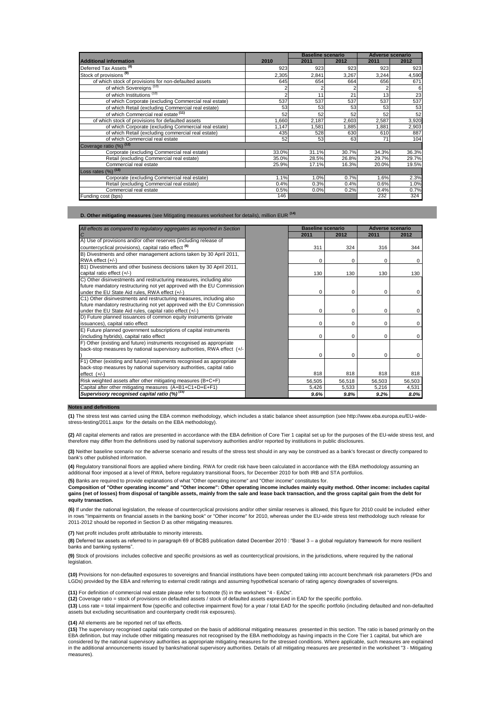|                                                       | <b>Baseline scenario</b> |       |       |       | <b>Adverse scenario</b> |  |  |  |
|-------------------------------------------------------|--------------------------|-------|-------|-------|-------------------------|--|--|--|
| <b>Additional information</b>                         | 2010                     | 2011  | 2012  | 2011  | 2012                    |  |  |  |
| Deferred Tax Assets <sup>(8)</sup>                    | 923                      | 923   | 923   | 923   | 923                     |  |  |  |
| Stock of provisions <sup>(9)</sup>                    | 2,305                    | 2,841 | 3,267 | 3,244 | 4,590                   |  |  |  |
| of which stock of provisions for non-defaulted assets | 645                      | 654   | 664   | 656   | 671                     |  |  |  |
| of which Sovereigns <sup>(10)</sup>                   |                          |       |       |       | 6                       |  |  |  |
| of which Institutions (10)                            |                          | 11    | 21    | 13    | 23                      |  |  |  |
| of which Corporate (excluding Commercial real estate) | 537                      | 537   | 537   | 537   | 537                     |  |  |  |
| of which Retail (excluding Commercial real estate)    | 53                       | 53    | 53    | 53    | 53                      |  |  |  |
| of which Commercial real estate (11)                  | 52                       | 52    | 52    | 52    | 52                      |  |  |  |
| of which stock of provisions for defaulted assets     | 1,660                    | 2,187 | 2,603 | 2,587 | 3,920                   |  |  |  |
| of which Corporate (excluding Commercial real estate) | 1,147                    | 1,581 | 1,885 | 1,881 | 2,903                   |  |  |  |
| of which Retail (excluding commercial real estate)    | 435                      | 528   | 630   | 610   | 887                     |  |  |  |
| of which Commercial real estate                       | 52                       | 53    | 63    | 71    | 104                     |  |  |  |
| Coverage ratio (%) (12)                               |                          |       |       |       |                         |  |  |  |
| Corporate (excluding Commercial real estate)          | 33.0%                    | 31.1% | 30.7% | 34.3% | 36.3%                   |  |  |  |
| Retail (excluding Commercial real estate)             | 35.0%                    | 28.5% | 26.8% | 29.7% | 29.7%                   |  |  |  |
| Commercial real estate                                | 25.9%                    | 17.1% | 16.3% | 20.0% | 19.5%                   |  |  |  |
| Loss rates $(%)$ $(13)$                               |                          |       |       |       |                         |  |  |  |
| Corporate (excluding Commercial real estate)          | 1.1%                     | 1.0%  | 0.7%  | 1.6%  | 2.3%                    |  |  |  |
| Retail (excluding Commercial real estate)             | 0.4%                     | 0.3%  | 0.4%  | 0.6%  | 1.0%                    |  |  |  |
| Commercial real estate                                | 0.5%                     | 0.0%  | 0.2%  | 0.4%  | 0.7%                    |  |  |  |
| Funding cost (bps)                                    | 146                      |       |       | 232   | 324                     |  |  |  |

**D. Other mitigating measures** (see Mitigating measures worksheet for details), million EUR **(14)**

| All effects as compared to regulatory aggregates as reported in Section | <b>Baseline scenario</b> |          | <b>Adverse scenario</b> |        |  |  |
|-------------------------------------------------------------------------|--------------------------|----------|-------------------------|--------|--|--|
|                                                                         | 2011                     | 2012     | 2011                    | 2012   |  |  |
| A) Use of provisions and/or other reserves (including release of        |                          |          |                         |        |  |  |
| countercyclical provisions), capital ratio effect <sup>(6)</sup>        | 311                      | 324      | 316                     | 344    |  |  |
| B) Divestments and other management actions taken by 30 April 2011,     |                          |          |                         |        |  |  |
| RWA effect (+/-)                                                        | $\Omega$                 | $\Omega$ | 0                       | 0      |  |  |
| B1) Divestments and other business decisions taken by 30 April 2011,    |                          |          |                         |        |  |  |
| capital ratio effect (+/-)                                              | 130                      | 130      | 130                     | 130    |  |  |
| C) Other disinvestments and restructuring measures, including also      |                          |          |                         |        |  |  |
| future mandatory restructuring not yet approved with the EU Commission  |                          |          |                         |        |  |  |
| under the EU State Aid rules, RWA effect (+/-)                          | $\Omega$                 | $\Omega$ | $\Omega$                | 0      |  |  |
| C1) Other disinvestments and restructuring measures, including also     |                          |          |                         |        |  |  |
| future mandatory restructuring not yet approved with the EU Commission  |                          |          |                         |        |  |  |
| under the EU State Aid rules, capital ratio effect (+/-)                | $\Omega$                 | $\Omega$ | 0                       | 0      |  |  |
| D) Future planned issuances of common equity instruments (private       |                          |          |                         |        |  |  |
| issuances), capital ratio effect                                        | $\Omega$                 | $\Omega$ | $\Omega$                | 0      |  |  |
| E) Future planned government subscriptions of capital instruments       |                          |          |                         |        |  |  |
| (including hybrids), capital ratio effect                               | $\Omega$                 | $\Omega$ | $\Omega$                | 0      |  |  |
| F) Other (existing and future) instruments recognised as appropriate    |                          |          |                         |        |  |  |
| back-stop measures by national supervisory authorities, RWA effect (+/- |                          |          |                         |        |  |  |
|                                                                         | $\Omega$                 | $\Omega$ | 0                       | 0      |  |  |
| F1) Other (existing and future) instruments recognised as appropriate   |                          |          |                         |        |  |  |
| back-stop measures by national supervisory authorities, capital ratio   |                          |          |                         |        |  |  |
| $effect$ $(+/-)$                                                        | 818                      | 818      | 818                     | 818    |  |  |
| Risk weighted assets after other mitigating measures (B+C+F)            | 56,505                   | 56,518   | 56,503                  | 56,503 |  |  |
| Capital after other mitigating measures (A+B1+C1+D+E+F1)                | 5,426                    | 5,533    | 5,216                   | 4,531  |  |  |
| Supervisory recognised capital ratio (%) <sup>(15)</sup>                | 9.6%                     | 9.8%     | 9.2%                    | 8.0%   |  |  |

### **Notes and definitions**

**(1)** The stress test was carried using the EBA common methodology, which includes a static balance sheet assumption (see http://www.eba.europa.eu/EU-widestress-testing/2011.aspx for the details on the EBA methodology).

**(2)** All capital elements and ratios are presented in accordance with the EBA definition of Core Tier 1 capital set up for the purposes of the EU-wide stress test, and therefore may differ from the definitions used by national supervisory authorities and/or reported by institutions in public disclosures.

**(3)** Neither baseline scenario nor the adverse scenario and results of the stress test should in any way be construed as a bank's forecast or directly compared to bank's other published information.

**(4)** Regulatory transitional floors are applied where binding. RWA for credit risk have been calculated in accordance with the EBA methodology assuming an additional floor imposed at a level of RWA, before regulatory transitional floors, for December 2010 for both IRB and STA portfolios.

**(5)** Banks are required to provide explanations of what "Other operating income" and "Other income" constitutes for.

Composition of "Other operating income" and "Other income": Other operating income includes mainly equity method. Other income: includes capital<br>gains (net of losses) from disposal of tangible assets, mainly from the sale **equity transaction.**

**(6)** If under the national legislation, the release of countercyclical provisions and/or other similar reserves is allowed, this figure for 2010 could be included either in rows "Impairments on financial assets in the banking book" or "Other income" for 2010, whereas under the EU-wide stress test methodology such release for 2011-2012 should be reported in Section D as other mitigating measures.

**(7)** Net profit includes profit attributable to minority interests.

**(8)** Deferred tax assets as referred to in paragraph 69 of BCBS publication dated December 2010 : "Basel 3 – a global regulatory framework for more resilient banks and banking systems".

**(9)** Stock of provisions includes collective and specific provisions as well as countercyclical provisions, in the jurisdictions, where required by the national legislation.

**(10)** Provisions for non-defaulted exposures to sovereigns and financial institutions have been computed taking into account benchmark risk parameters (PDs and LGDs) provided by the EBA and referring to external credit ratings and assuming hypothetical scenario of rating agency downgrades of sovereigns.

**(11)** For definition of commercial real estate please refer to footnote (5) in the worksheet "4 - EADs".

**(12)** Coverage ratio = stock of provisions on defaulted assets / stock of defaulted assets expressed in EAD for the specific portfolio.

**(13)** Loss rate = total impairment flow (specific and collective impairment flow) for a year / total EAD for the specific portfolio (including defaulted and non-defaulted assets but excluding securitisation and counterparty credit risk exposures).

### **(14)** All elements are be reported net of tax effects.

**(15)** The supervisory recognised capital ratio computed on the basis of additional mitigating measures presented in this section. The ratio is based primarily on the EBA definition, but may include other mitigating measures not recognised by the EBA methodology as having impacts in the Core Tier 1 capital, but which are considered by the national supervisory authorities as appropriate mitigating measures for the stressed conditions. Where applicable, such measures are explained in the additional announcements issued by banks/national supervisory authorities. Details of all mitigating measures are presented in the worksheet "3 - Mitigating measures).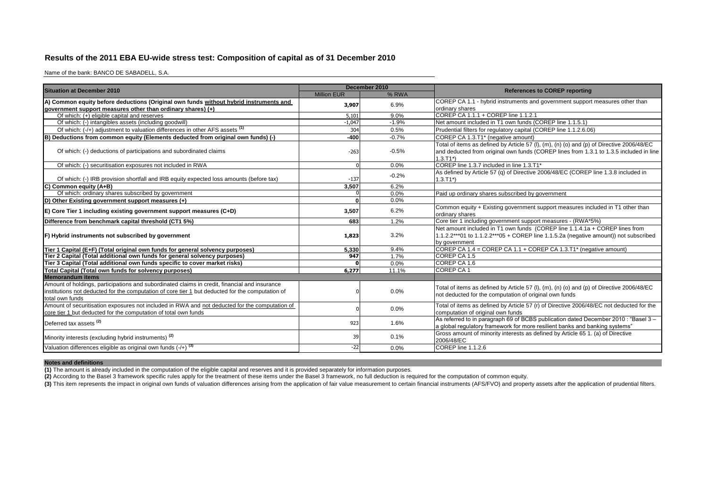# **Results of the 2011 EBA EU-wide stress test: Composition of capital as of 31 December 2010**

Name of the bank: BANCO DE SABADELL, S.A.

| <b>Million EUR</b><br>% RWA<br>COREP CA 1.1 - hybrid instruments and government support measures other than<br>6.9%<br>3,907<br>ordinary shares<br>COREP CA 1.1.1 + COREP line 1.1.2.1<br>Of which: (+) eligible capital and reserves<br>9.0%<br>5,101<br>Of which: (-) intangibles assets (including goodwill)<br>$-1.9%$<br>Net amount included in T1 own funds (COREP line 1.1.5.1)<br>$-1.047$<br>Of which: (-/+) adjustment to valuation differences in other AFS assets (1)<br>0.5%<br>304<br>Prudential filters for regulatory capital (COREP line 1.1.2.6.06)<br>$-0.7%$<br>$-400$<br>COREP CA 1.3.T1* (negative amount)<br>Total of items as defined by Article 57 (I), (m), (n) (o) and (p) of Directive 2006/48/EC<br>Of which: (-) deductions of participations and subordinated claims<br>$-0.5%$<br>and deducted from original own funds (COREP lines from 1.3.1 to 1.3.5 included in line<br>$-263$<br>$1.3.T1*)$<br>COREP line 1.3.7 included in line 1.3.T1*<br>0.0%<br>Of which: (-) securitisation exposures not included in RWA<br>As defined by Article 57 (q) of Directive 2006/48/EC (COREP line 1.3.8 included in<br>$-0.2%$<br>Of which: (-) IRB provision shortfall and IRB equity expected loss amounts (before tax)<br>$-137$<br>$1.3.T1*$<br>6.2%<br>3.507<br>Of which: ordinary shares subscribed by government<br>0.0%<br>Paid up ordinary shares subscribed by government<br>0.0%<br>ΩI<br>Common equity + Existing government support measures included in T1 other than<br>6.2%<br>E) Core Tier 1 including existing government support measures (C+D)<br>3,507<br>ordinary shares<br>Core tier 1 including government support measures - (RWA*5%)<br>1.2%<br>Difference from benchmark capital threshold (CT1 5%)<br>683<br>Net amount included in T1 own funds (COREP line 1.1.4.1a + COREP lines from<br>1.1.2.2***01 to 1.1.2.2***05 + COREP line 1.1.5.2a (negative amount)) not subscribed<br>3.2%<br>1,823<br>by government<br>COREP CA 1.4 = COREP CA 1.1 + COREP CA 1.3.T1* (negative amount)<br>$9.4\%$<br>5.330<br>Tier 2 Capital (Total additional own funds for general solvency purposes)<br>947<br>COREP CA 1.5<br>1.7%<br>Tier 3 Capital (Total additional own funds specific to cover market risks)<br>COREP CA 1.6<br>0.0%<br><b>COREP CA1</b><br>11.1%<br>6,277<br><b>Memorandum items</b><br>Amount of holdings, participations and subordinated claims in credit, financial and insurance<br>Total of items as defined by Article 57 (I), (m), (n) (o) and (p) of Directive 2006/48/EC<br>institutions not deducted for the computation of core tier 1 but deducted for the computation of<br>0.0%<br>not deducted for the computation of original own funds<br>total own funds<br>Amount of securitisation exposures not included in RWA and not deducted for the computation of<br>Total of items as defined by Article 57 (r) of Directive 2006/48/EC not deducted for the<br>0.0%<br>core tier 1 but deducted for the computation of total own funds<br>computation of original own funds<br>As referred to in paragraph 69 of BCBS publication dated December 2010 : "Basel 3 -<br>923<br>1.6%<br>Deferred tax assets <sup>(2)</sup><br>a global regulatory framework for more resilient banks and banking systems"<br>Gross amount of minority interests as defined by Article 65 1. (a) of Directive<br>Minority interests (excluding hybrid instruments) <sup>(2)</sup><br>0.1%<br>39<br>2006/48/EC<br>COREP line 1.1.2.6<br>$-22$<br>0.0% | <b>Situation at December 2010</b>                                                     | December 2010 | <b>References to COREP reporting</b> |  |  |  |
|-----------------------------------------------------------------------------------------------------------------------------------------------------------------------------------------------------------------------------------------------------------------------------------------------------------------------------------------------------------------------------------------------------------------------------------------------------------------------------------------------------------------------------------------------------------------------------------------------------------------------------------------------------------------------------------------------------------------------------------------------------------------------------------------------------------------------------------------------------------------------------------------------------------------------------------------------------------------------------------------------------------------------------------------------------------------------------------------------------------------------------------------------------------------------------------------------------------------------------------------------------------------------------------------------------------------------------------------------------------------------------------------------------------------------------------------------------------------------------------------------------------------------------------------------------------------------------------------------------------------------------------------------------------------------------------------------------------------------------------------------------------------------------------------------------------------------------------------------------------------------------------------------------------------------------------------------------------------------------------------------------------------------------------------------------------------------------------------------------------------------------------------------------------------------------------------------------------------------------------------------------------------------------------------------------------------------------------------------------------------------------------------------------------------------------------------------------------------------------------------------------------------------------------------------------------------------------------------------------------------------------------------------------------------------------------------------------------------------------------------------------------------------------------------------------------------------------------------------------------------------------------------------------------------------------------------------------------------------------------------------------------------------------------------------------------------------------------------------------------------------------------------------------------------------------------------------------------------------------------------------------------------------------------------------------------------------------------------------------------------------------------------------------------------------------------------------------------------------------------------------------------|---------------------------------------------------------------------------------------|---------------|--------------------------------------|--|--|--|
|                                                                                                                                                                                                                                                                                                                                                                                                                                                                                                                                                                                                                                                                                                                                                                                                                                                                                                                                                                                                                                                                                                                                                                                                                                                                                                                                                                                                                                                                                                                                                                                                                                                                                                                                                                                                                                                                                                                                                                                                                                                                                                                                                                                                                                                                                                                                                                                                                                                                                                                                                                                                                                                                                                                                                                                                                                                                                                                                                                                                                                                                                                                                                                                                                                                                                                                                                                                                                                                                                                           |                                                                                       |               |                                      |  |  |  |
|                                                                                                                                                                                                                                                                                                                                                                                                                                                                                                                                                                                                                                                                                                                                                                                                                                                                                                                                                                                                                                                                                                                                                                                                                                                                                                                                                                                                                                                                                                                                                                                                                                                                                                                                                                                                                                                                                                                                                                                                                                                                                                                                                                                                                                                                                                                                                                                                                                                                                                                                                                                                                                                                                                                                                                                                                                                                                                                                                                                                                                                                                                                                                                                                                                                                                                                                                                                                                                                                                                           | A) Common equity before deductions (Original own funds without hybrid instruments and |               |                                      |  |  |  |
|                                                                                                                                                                                                                                                                                                                                                                                                                                                                                                                                                                                                                                                                                                                                                                                                                                                                                                                                                                                                                                                                                                                                                                                                                                                                                                                                                                                                                                                                                                                                                                                                                                                                                                                                                                                                                                                                                                                                                                                                                                                                                                                                                                                                                                                                                                                                                                                                                                                                                                                                                                                                                                                                                                                                                                                                                                                                                                                                                                                                                                                                                                                                                                                                                                                                                                                                                                                                                                                                                                           | government support measures other than ordinary shares) (+)                           |               |                                      |  |  |  |
|                                                                                                                                                                                                                                                                                                                                                                                                                                                                                                                                                                                                                                                                                                                                                                                                                                                                                                                                                                                                                                                                                                                                                                                                                                                                                                                                                                                                                                                                                                                                                                                                                                                                                                                                                                                                                                                                                                                                                                                                                                                                                                                                                                                                                                                                                                                                                                                                                                                                                                                                                                                                                                                                                                                                                                                                                                                                                                                                                                                                                                                                                                                                                                                                                                                                                                                                                                                                                                                                                                           |                                                                                       |               |                                      |  |  |  |
|                                                                                                                                                                                                                                                                                                                                                                                                                                                                                                                                                                                                                                                                                                                                                                                                                                                                                                                                                                                                                                                                                                                                                                                                                                                                                                                                                                                                                                                                                                                                                                                                                                                                                                                                                                                                                                                                                                                                                                                                                                                                                                                                                                                                                                                                                                                                                                                                                                                                                                                                                                                                                                                                                                                                                                                                                                                                                                                                                                                                                                                                                                                                                                                                                                                                                                                                                                                                                                                                                                           |                                                                                       |               |                                      |  |  |  |
|                                                                                                                                                                                                                                                                                                                                                                                                                                                                                                                                                                                                                                                                                                                                                                                                                                                                                                                                                                                                                                                                                                                                                                                                                                                                                                                                                                                                                                                                                                                                                                                                                                                                                                                                                                                                                                                                                                                                                                                                                                                                                                                                                                                                                                                                                                                                                                                                                                                                                                                                                                                                                                                                                                                                                                                                                                                                                                                                                                                                                                                                                                                                                                                                                                                                                                                                                                                                                                                                                                           |                                                                                       |               |                                      |  |  |  |
|                                                                                                                                                                                                                                                                                                                                                                                                                                                                                                                                                                                                                                                                                                                                                                                                                                                                                                                                                                                                                                                                                                                                                                                                                                                                                                                                                                                                                                                                                                                                                                                                                                                                                                                                                                                                                                                                                                                                                                                                                                                                                                                                                                                                                                                                                                                                                                                                                                                                                                                                                                                                                                                                                                                                                                                                                                                                                                                                                                                                                                                                                                                                                                                                                                                                                                                                                                                                                                                                                                           | B) Deductions from common equity (Elements deducted from original own funds) (-)      |               |                                      |  |  |  |
|                                                                                                                                                                                                                                                                                                                                                                                                                                                                                                                                                                                                                                                                                                                                                                                                                                                                                                                                                                                                                                                                                                                                                                                                                                                                                                                                                                                                                                                                                                                                                                                                                                                                                                                                                                                                                                                                                                                                                                                                                                                                                                                                                                                                                                                                                                                                                                                                                                                                                                                                                                                                                                                                                                                                                                                                                                                                                                                                                                                                                                                                                                                                                                                                                                                                                                                                                                                                                                                                                                           |                                                                                       |               |                                      |  |  |  |
|                                                                                                                                                                                                                                                                                                                                                                                                                                                                                                                                                                                                                                                                                                                                                                                                                                                                                                                                                                                                                                                                                                                                                                                                                                                                                                                                                                                                                                                                                                                                                                                                                                                                                                                                                                                                                                                                                                                                                                                                                                                                                                                                                                                                                                                                                                                                                                                                                                                                                                                                                                                                                                                                                                                                                                                                                                                                                                                                                                                                                                                                                                                                                                                                                                                                                                                                                                                                                                                                                                           |                                                                                       |               |                                      |  |  |  |
|                                                                                                                                                                                                                                                                                                                                                                                                                                                                                                                                                                                                                                                                                                                                                                                                                                                                                                                                                                                                                                                                                                                                                                                                                                                                                                                                                                                                                                                                                                                                                                                                                                                                                                                                                                                                                                                                                                                                                                                                                                                                                                                                                                                                                                                                                                                                                                                                                                                                                                                                                                                                                                                                                                                                                                                                                                                                                                                                                                                                                                                                                                                                                                                                                                                                                                                                                                                                                                                                                                           |                                                                                       |               |                                      |  |  |  |
|                                                                                                                                                                                                                                                                                                                                                                                                                                                                                                                                                                                                                                                                                                                                                                                                                                                                                                                                                                                                                                                                                                                                                                                                                                                                                                                                                                                                                                                                                                                                                                                                                                                                                                                                                                                                                                                                                                                                                                                                                                                                                                                                                                                                                                                                                                                                                                                                                                                                                                                                                                                                                                                                                                                                                                                                                                                                                                                                                                                                                                                                                                                                                                                                                                                                                                                                                                                                                                                                                                           | C) Common equity (A+B)                                                                |               |                                      |  |  |  |
|                                                                                                                                                                                                                                                                                                                                                                                                                                                                                                                                                                                                                                                                                                                                                                                                                                                                                                                                                                                                                                                                                                                                                                                                                                                                                                                                                                                                                                                                                                                                                                                                                                                                                                                                                                                                                                                                                                                                                                                                                                                                                                                                                                                                                                                                                                                                                                                                                                                                                                                                                                                                                                                                                                                                                                                                                                                                                                                                                                                                                                                                                                                                                                                                                                                                                                                                                                                                                                                                                                           |                                                                                       |               |                                      |  |  |  |
|                                                                                                                                                                                                                                                                                                                                                                                                                                                                                                                                                                                                                                                                                                                                                                                                                                                                                                                                                                                                                                                                                                                                                                                                                                                                                                                                                                                                                                                                                                                                                                                                                                                                                                                                                                                                                                                                                                                                                                                                                                                                                                                                                                                                                                                                                                                                                                                                                                                                                                                                                                                                                                                                                                                                                                                                                                                                                                                                                                                                                                                                                                                                                                                                                                                                                                                                                                                                                                                                                                           | D) Other Existing government support measures (+)                                     |               |                                      |  |  |  |
|                                                                                                                                                                                                                                                                                                                                                                                                                                                                                                                                                                                                                                                                                                                                                                                                                                                                                                                                                                                                                                                                                                                                                                                                                                                                                                                                                                                                                                                                                                                                                                                                                                                                                                                                                                                                                                                                                                                                                                                                                                                                                                                                                                                                                                                                                                                                                                                                                                                                                                                                                                                                                                                                                                                                                                                                                                                                                                                                                                                                                                                                                                                                                                                                                                                                                                                                                                                                                                                                                                           |                                                                                       |               |                                      |  |  |  |
|                                                                                                                                                                                                                                                                                                                                                                                                                                                                                                                                                                                                                                                                                                                                                                                                                                                                                                                                                                                                                                                                                                                                                                                                                                                                                                                                                                                                                                                                                                                                                                                                                                                                                                                                                                                                                                                                                                                                                                                                                                                                                                                                                                                                                                                                                                                                                                                                                                                                                                                                                                                                                                                                                                                                                                                                                                                                                                                                                                                                                                                                                                                                                                                                                                                                                                                                                                                                                                                                                                           |                                                                                       |               |                                      |  |  |  |
|                                                                                                                                                                                                                                                                                                                                                                                                                                                                                                                                                                                                                                                                                                                                                                                                                                                                                                                                                                                                                                                                                                                                                                                                                                                                                                                                                                                                                                                                                                                                                                                                                                                                                                                                                                                                                                                                                                                                                                                                                                                                                                                                                                                                                                                                                                                                                                                                                                                                                                                                                                                                                                                                                                                                                                                                                                                                                                                                                                                                                                                                                                                                                                                                                                                                                                                                                                                                                                                                                                           | F) Hybrid instruments not subscribed by government                                    |               |                                      |  |  |  |
|                                                                                                                                                                                                                                                                                                                                                                                                                                                                                                                                                                                                                                                                                                                                                                                                                                                                                                                                                                                                                                                                                                                                                                                                                                                                                                                                                                                                                                                                                                                                                                                                                                                                                                                                                                                                                                                                                                                                                                                                                                                                                                                                                                                                                                                                                                                                                                                                                                                                                                                                                                                                                                                                                                                                                                                                                                                                                                                                                                                                                                                                                                                                                                                                                                                                                                                                                                                                                                                                                                           | Tier 1 Capital (E+F) (Total original own funds for general solvency purposes)         |               |                                      |  |  |  |
|                                                                                                                                                                                                                                                                                                                                                                                                                                                                                                                                                                                                                                                                                                                                                                                                                                                                                                                                                                                                                                                                                                                                                                                                                                                                                                                                                                                                                                                                                                                                                                                                                                                                                                                                                                                                                                                                                                                                                                                                                                                                                                                                                                                                                                                                                                                                                                                                                                                                                                                                                                                                                                                                                                                                                                                                                                                                                                                                                                                                                                                                                                                                                                                                                                                                                                                                                                                                                                                                                                           |                                                                                       |               |                                      |  |  |  |
|                                                                                                                                                                                                                                                                                                                                                                                                                                                                                                                                                                                                                                                                                                                                                                                                                                                                                                                                                                                                                                                                                                                                                                                                                                                                                                                                                                                                                                                                                                                                                                                                                                                                                                                                                                                                                                                                                                                                                                                                                                                                                                                                                                                                                                                                                                                                                                                                                                                                                                                                                                                                                                                                                                                                                                                                                                                                                                                                                                                                                                                                                                                                                                                                                                                                                                                                                                                                                                                                                                           |                                                                                       |               |                                      |  |  |  |
|                                                                                                                                                                                                                                                                                                                                                                                                                                                                                                                                                                                                                                                                                                                                                                                                                                                                                                                                                                                                                                                                                                                                                                                                                                                                                                                                                                                                                                                                                                                                                                                                                                                                                                                                                                                                                                                                                                                                                                                                                                                                                                                                                                                                                                                                                                                                                                                                                                                                                                                                                                                                                                                                                                                                                                                                                                                                                                                                                                                                                                                                                                                                                                                                                                                                                                                                                                                                                                                                                                           | Total Capital (Total own funds for solvency purposes)                                 |               |                                      |  |  |  |
|                                                                                                                                                                                                                                                                                                                                                                                                                                                                                                                                                                                                                                                                                                                                                                                                                                                                                                                                                                                                                                                                                                                                                                                                                                                                                                                                                                                                                                                                                                                                                                                                                                                                                                                                                                                                                                                                                                                                                                                                                                                                                                                                                                                                                                                                                                                                                                                                                                                                                                                                                                                                                                                                                                                                                                                                                                                                                                                                                                                                                                                                                                                                                                                                                                                                                                                                                                                                                                                                                                           |                                                                                       |               |                                      |  |  |  |
|                                                                                                                                                                                                                                                                                                                                                                                                                                                                                                                                                                                                                                                                                                                                                                                                                                                                                                                                                                                                                                                                                                                                                                                                                                                                                                                                                                                                                                                                                                                                                                                                                                                                                                                                                                                                                                                                                                                                                                                                                                                                                                                                                                                                                                                                                                                                                                                                                                                                                                                                                                                                                                                                                                                                                                                                                                                                                                                                                                                                                                                                                                                                                                                                                                                                                                                                                                                                                                                                                                           |                                                                                       |               |                                      |  |  |  |
|                                                                                                                                                                                                                                                                                                                                                                                                                                                                                                                                                                                                                                                                                                                                                                                                                                                                                                                                                                                                                                                                                                                                                                                                                                                                                                                                                                                                                                                                                                                                                                                                                                                                                                                                                                                                                                                                                                                                                                                                                                                                                                                                                                                                                                                                                                                                                                                                                                                                                                                                                                                                                                                                                                                                                                                                                                                                                                                                                                                                                                                                                                                                                                                                                                                                                                                                                                                                                                                                                                           |                                                                                       |               |                                      |  |  |  |
|                                                                                                                                                                                                                                                                                                                                                                                                                                                                                                                                                                                                                                                                                                                                                                                                                                                                                                                                                                                                                                                                                                                                                                                                                                                                                                                                                                                                                                                                                                                                                                                                                                                                                                                                                                                                                                                                                                                                                                                                                                                                                                                                                                                                                                                                                                                                                                                                                                                                                                                                                                                                                                                                                                                                                                                                                                                                                                                                                                                                                                                                                                                                                                                                                                                                                                                                                                                                                                                                                                           |                                                                                       |               |                                      |  |  |  |
|                                                                                                                                                                                                                                                                                                                                                                                                                                                                                                                                                                                                                                                                                                                                                                                                                                                                                                                                                                                                                                                                                                                                                                                                                                                                                                                                                                                                                                                                                                                                                                                                                                                                                                                                                                                                                                                                                                                                                                                                                                                                                                                                                                                                                                                                                                                                                                                                                                                                                                                                                                                                                                                                                                                                                                                                                                                                                                                                                                                                                                                                                                                                                                                                                                                                                                                                                                                                                                                                                                           |                                                                                       |               |                                      |  |  |  |
|                                                                                                                                                                                                                                                                                                                                                                                                                                                                                                                                                                                                                                                                                                                                                                                                                                                                                                                                                                                                                                                                                                                                                                                                                                                                                                                                                                                                                                                                                                                                                                                                                                                                                                                                                                                                                                                                                                                                                                                                                                                                                                                                                                                                                                                                                                                                                                                                                                                                                                                                                                                                                                                                                                                                                                                                                                                                                                                                                                                                                                                                                                                                                                                                                                                                                                                                                                                                                                                                                                           | Valuation differences eligible as original own funds $(-/+)$ <sup>(3)</sup>           |               |                                      |  |  |  |

### **Notes and definitions**

**(1)** The amount is already included in the computation of the eligible capital and reserves and it is provided separately for information purposes.

**(2)** According to the Basel 3 framework specific rules apply for the treatment of these items under the Basel 3 framework, no full deduction is required for the computation of common equity.

(3) This item represents the impact in original own funds of valuation differences arising from the application of fair value measurement to certain financial instruments (AFS/FVO) and property assets after the application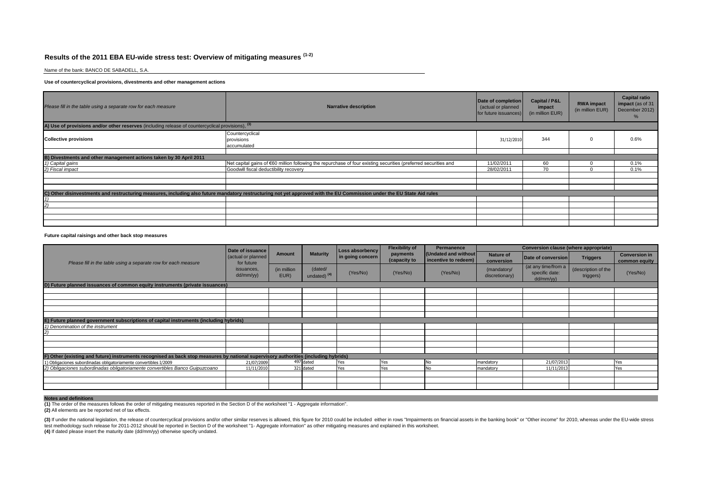# **Results of the 2011 EBA EU-wide stress test: Overview of mitigating measures (1-2)**

Name of the bank: BANCO DE SABADELL, S.A.

### **Use of countercyclical provisions, divestments and other management actions**

| Please fill in the table using a separate row for each measure                                    | <b>Narrative description</b>                                                                                                                                           | Date of completion<br>(actual or planned<br>for future issuances) | <b>Capital / P&amp;L</b><br>impact<br>(in million EUR) | <b>RWA</b> impact<br>(in million EUR) | <b>Capital ratio</b><br>impact (as of 31<br>December 2012) |
|---------------------------------------------------------------------------------------------------|------------------------------------------------------------------------------------------------------------------------------------------------------------------------|-------------------------------------------------------------------|--------------------------------------------------------|---------------------------------------|------------------------------------------------------------|
| A) Use of provisions and/or other reserves (including release of countercyclical provisions), (3) |                                                                                                                                                                        |                                                                   |                                                        |                                       |                                                            |
| <b>Collective provisions</b>                                                                      | Countercyclical<br>provisions<br>accumulated                                                                                                                           | 31/12/2010                                                        | 344                                                    |                                       | 0.6%                                                       |
|                                                                                                   |                                                                                                                                                                        |                                                                   |                                                        |                                       |                                                            |
| B) Divestments and other management actions taken by 30 April 2011                                |                                                                                                                                                                        |                                                                   |                                                        |                                       |                                                            |
| 1) Capital gains                                                                                  | Net capital gains of €60 million following the repurchase of four existing securities (preferred securities and                                                        | 11/02/2011                                                        | 60                                                     |                                       | 0.1%                                                       |
| 2) Fiscal impact                                                                                  | Goodwill fiscal deductibility recovery                                                                                                                                 | 28/02/2011                                                        | 70                                                     |                                       | 0.1%                                                       |
|                                                                                                   |                                                                                                                                                                        |                                                                   |                                                        |                                       |                                                            |
|                                                                                                   |                                                                                                                                                                        |                                                                   |                                                        |                                       |                                                            |
|                                                                                                   |                                                                                                                                                                        |                                                                   |                                                        |                                       |                                                            |
|                                                                                                   | C) Other disinvestments and restructuring measures, including also future mandatory restructuring not yet approved with the EU Commission under the EU State Aid rules |                                                                   |                                                        |                                       |                                                            |
|                                                                                                   |                                                                                                                                                                        |                                                                   |                                                        |                                       |                                                            |
|                                                                                                   |                                                                                                                                                                        |                                                                   |                                                        |                                       |                                                            |
|                                                                                                   |                                                                                                                                                                        |                                                                   |                                                        |                                       |                                                            |
|                                                                                                   |                                                                                                                                                                        |                                                                   |                                                        |                                       |                                                            |
|                                                                                                   |                                                                                                                                                                        |                                                                   |                                                        |                                       |                                                            |

#### **Future capital raisings and other back stop measures**

|                                                                                                                                     | Date of issuance                 | <b>Amount</b>       |                                    | Loss absorbency  | <b>Flexibility of</b>    | <b>Permanence</b>                            |                               | Conversion clause (where appropriate)              |                                  |                                       |  |
|-------------------------------------------------------------------------------------------------------------------------------------|----------------------------------|---------------------|------------------------------------|------------------|--------------------------|----------------------------------------------|-------------------------------|----------------------------------------------------|----------------------------------|---------------------------------------|--|
| Please fill in the table using a separate row for each measure                                                                      | (actual or planned<br>for future |                     | <b>Maturity</b>                    | in going concern | payments<br>(capacity to | (Undated and without<br>incentive to redeem) | Nature of<br>conversion       | Date of conversion                                 | <b>Triggers</b>                  | <b>Conversion in</b><br>common equity |  |
|                                                                                                                                     | issuances,<br>dd/mm/yy)          | (in million<br>EUR) | (dated/<br>undated) <sup>(4)</sup> | (Yes/No)         | (Yes/No)                 | (Yes/No)                                     | (mandatory/<br>discretionary) | (at any time/from a<br>specific date:<br>dd/mm/yy) | (description of the<br>triggers) | (Yes/No)                              |  |
| D) Future planned issuances of common equity instruments (private issuances)                                                        |                                  |                     |                                    |                  |                          |                                              |                               |                                                    |                                  |                                       |  |
|                                                                                                                                     |                                  |                     |                                    |                  |                          |                                              |                               |                                                    |                                  |                                       |  |
|                                                                                                                                     |                                  |                     |                                    |                  |                          |                                              |                               |                                                    |                                  |                                       |  |
|                                                                                                                                     |                                  |                     |                                    |                  |                          |                                              |                               |                                                    |                                  |                                       |  |
|                                                                                                                                     |                                  |                     |                                    |                  |                          |                                              |                               |                                                    |                                  |                                       |  |
|                                                                                                                                     |                                  |                     |                                    |                  |                          |                                              |                               |                                                    |                                  |                                       |  |
| E) Future planned government subscriptions of capital instruments (including hybrids)                                               |                                  |                     |                                    |                  |                          |                                              |                               |                                                    |                                  |                                       |  |
| 1) Denomination of the instrument                                                                                                   |                                  |                     |                                    |                  |                          |                                              |                               |                                                    |                                  |                                       |  |
|                                                                                                                                     |                                  |                     |                                    |                  |                          |                                              |                               |                                                    |                                  |                                       |  |
|                                                                                                                                     |                                  |                     |                                    |                  |                          |                                              |                               |                                                    |                                  |                                       |  |
|                                                                                                                                     |                                  |                     |                                    |                  |                          |                                              |                               |                                                    |                                  |                                       |  |
|                                                                                                                                     |                                  |                     |                                    |                  |                          |                                              |                               |                                                    |                                  |                                       |  |
| F) Other (existing and future) instruments recognised as back stop measures by national supervisory authorities (including hybrids) |                                  |                     |                                    |                  |                          |                                              |                               |                                                    |                                  |                                       |  |
| 1) Obligaciones subordinadas obligatoriamente convertibles I/2009                                                                   | 21/07/2009                       |                     | 497 dated                          | Yes              | Yes                      | ١o                                           | mandatory                     | 21/07/2013                                         |                                  | res                                   |  |
| 2) Obligaciones subordinadas obligatoriamente convertibles Banco Guipuzcoano                                                        | 11/11/2010                       |                     | 321 dated                          | Yes              | Yes                      |                                              | mandatory                     | 11/11/2013                                         |                                  | 'es                                   |  |
|                                                                                                                                     |                                  |                     |                                    |                  |                          |                                              |                               |                                                    |                                  |                                       |  |
|                                                                                                                                     |                                  |                     |                                    |                  |                          |                                              |                               |                                                    |                                  |                                       |  |
|                                                                                                                                     |                                  |                     |                                    |                  |                          |                                              |                               |                                                    |                                  |                                       |  |

### **Notes and definitions**

**(1)** The order of the measures follows the order of mitigating measures reported in the Section D of the worksheet "1 - Aggregate information".

**(2)** All elements are be reported net of tax effects.

(3) If under the national legislation, the release of countercyclical provisions and/or other similar reserves is allowed, this figure for 2010 could be included either in rows "Impairments on financial assets in the banki test methodology such release for 2011-2012 should be reported in Section D of the worksheet "1- Aggregate information" as other mitigating measures and explained in this worksheet. **(4)** If dated please insert the maturity date (dd/mm/yy) otherwise specify undated.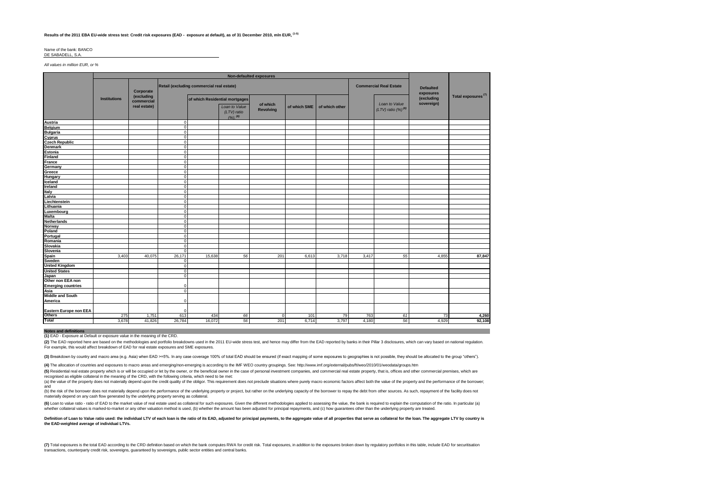#### **Results of the 2011 EBA EU-wide stress test: Credit risk exposures (EAD - exposure at default), as of 31 December 2010, mln EUR, (1-5)**

#### Name of the bank: BANCO DE SABADELL, S.A.

*All values in million EUR, or %*

|                                 | <b>Non-defaulted exposures</b>                         |                                          |                            |                                |                              |                              |              |                |                                            |                               |                          |                                |
|---------------------------------|--------------------------------------------------------|------------------------------------------|----------------------------|--------------------------------|------------------------------|------------------------------|--------------|----------------|--------------------------------------------|-------------------------------|--------------------------|--------------------------------|
|                                 | Retail (excluding commercial real estate)<br>Corporate |                                          |                            |                                |                              |                              |              |                | <b>Commercial Real Estate</b>              | <b>Defaulted</b><br>exposures |                          |                                |
|                                 | <b>Institutions</b>                                    | (excluding<br>commercial<br>real estate) |                            | of which Residential mortgages | Loan to Value<br>(LTV) ratio | of which<br><b>Revolving</b> | of which SME | of which other | Loan to Value<br>$(LTV)$ ratio $(%)^{(6)}$ |                               | (excluding<br>sovereign) | Total exposures <sup>(7)</sup> |
|                                 |                                                        |                                          |                            |                                | (%), (6)                     |                              |              |                |                                            |                               |                          |                                |
| <b>Austria</b>                  |                                                        |                                          | $\Omega$<br>$\Omega$       |                                |                              |                              |              |                |                                            |                               |                          |                                |
| <b>Belgium</b>                  |                                                        |                                          | $\Omega$                   |                                |                              |                              |              |                |                                            |                               |                          |                                |
| <b>Bulgaria</b>                 |                                                        |                                          | $\Omega$                   |                                |                              |                              |              |                |                                            |                               |                          |                                |
| Cyprus                          |                                                        |                                          |                            |                                |                              |                              |              |                |                                            |                               |                          |                                |
| <b>Czech Republic</b>           |                                                        |                                          | $\Omega$<br>$\Omega$       |                                |                              |                              |              |                |                                            |                               |                          |                                |
| <b>Denmark</b>                  |                                                        |                                          | $\Omega$                   |                                |                              |                              |              |                |                                            |                               |                          |                                |
| <b>Estonia</b>                  |                                                        |                                          | $\Omega$                   |                                |                              |                              |              |                |                                            |                               |                          |                                |
| <b>Finland</b>                  |                                                        |                                          | $\Omega$                   |                                |                              |                              |              |                |                                            |                               |                          |                                |
| France                          |                                                        |                                          | $\Omega$                   |                                |                              |                              |              |                |                                            |                               |                          |                                |
| Germany                         |                                                        |                                          | $\Omega$                   |                                |                              |                              |              |                |                                            |                               |                          |                                |
| Greece                          |                                                        |                                          | $\Omega$                   |                                |                              |                              |              |                |                                            |                               |                          |                                |
| Hungary                         |                                                        |                                          | $\Omega$                   |                                |                              |                              |              |                |                                            |                               |                          |                                |
| Iceland<br>Ireland              |                                                        |                                          |                            |                                |                              |                              |              |                |                                            |                               |                          |                                |
|                                 |                                                        |                                          | $^{\circ}$<br>$\Omega$     |                                |                              |                              |              |                |                                            |                               |                          |                                |
| Italy                           |                                                        |                                          | $\Omega$                   |                                |                              |                              |              |                |                                            |                               |                          |                                |
| Latvia                          |                                                        |                                          |                            |                                |                              |                              |              |                |                                            |                               |                          |                                |
| Liechtenstein                   |                                                        |                                          | $\Omega$                   |                                |                              |                              |              |                |                                            |                               |                          |                                |
| Lithuania                       |                                                        |                                          | $\Omega$<br>$\Omega$       |                                |                              |                              |              |                |                                            |                               |                          |                                |
| Luxembourg                      |                                                        |                                          |                            |                                |                              |                              |              |                |                                            |                               |                          |                                |
| <b>Malta</b>                    |                                                        |                                          | $\Omega$                   |                                |                              |                              |              |                |                                            |                               |                          |                                |
| <b>Netherlands</b>              |                                                        |                                          | $\Omega$<br>$\Omega$       |                                |                              |                              |              |                |                                            |                               |                          |                                |
| Norway                          |                                                        |                                          | $\Omega$                   |                                |                              |                              |              |                |                                            |                               |                          |                                |
| Poland                          |                                                        |                                          |                            |                                |                              |                              |              |                |                                            |                               |                          |                                |
| Portugal                        |                                                        |                                          | $\Omega$<br>$\overline{0}$ |                                |                              |                              |              |                |                                            |                               |                          |                                |
| Romania                         |                                                        |                                          |                            |                                |                              |                              |              |                |                                            |                               |                          |                                |
| Slovakia                        |                                                        |                                          | $\Omega$<br>$\Omega$       |                                |                              |                              |              |                |                                            |                               |                          |                                |
| Slovenia                        |                                                        |                                          |                            |                                |                              |                              |              |                |                                            |                               |                          |                                |
| <b>Spain</b>                    | 3.403                                                  | 40.075                                   | 26,171<br>C                | 15,638                         | 56                           | 201                          | 6,613        | 3,718          | 3.417                                      | 55                            | 4,855                    | 87,847                         |
| Sweden<br><b>United Kingdom</b> |                                                        |                                          | $\Omega$                   |                                |                              |                              |              |                |                                            |                               |                          |                                |
|                                 |                                                        |                                          |                            |                                |                              |                              |              |                |                                            |                               |                          |                                |
| <b>United States</b>            |                                                        |                                          | $\Omega$                   |                                |                              |                              |              |                |                                            |                               |                          |                                |
| Japan<br>Other non EEA non      |                                                        |                                          | $\Omega$                   |                                |                              |                              |              |                |                                            |                               |                          |                                |
|                                 |                                                        |                                          |                            |                                |                              |                              |              |                |                                            |                               |                          |                                |
| <b>Emerging countries</b>       |                                                        |                                          | C<br>$\Omega$              |                                |                              |                              |              |                |                                            |                               |                          |                                |
| Asia<br><b>Middle and South</b> |                                                        |                                          |                            |                                |                              |                              |              |                |                                            |                               |                          |                                |
|                                 |                                                        |                                          |                            |                                |                              |                              |              |                |                                            |                               |                          |                                |
| America                         |                                                        |                                          | $\Omega$                   |                                |                              |                              |              |                |                                            |                               |                          |                                |
| Eastern Europe non EEA          |                                                        |                                          |                            |                                |                              |                              |              |                |                                            |                               |                          |                                |
| <b>Others</b>                   | 275                                                    | 1,751                                    | 613                        | 434                            | 66                           | $\mathbf 0$                  | 101          | 79             | 763                                        | 61                            | 73                       | 4,260                          |
| <b>Total</b>                    | 3.678                                                  | 41,826                                   | 26,784                     | 16.072                         | 56                           | 201                          | 6,714        | 3.797          | 4,180                                      | 56                            | 4.929                    | 92,108                         |

#### **Notes and definitions**

**(1)** EAD - Exposure at Default or exposure value in the meaning of the CRD.

(2) The EAD reported here are based on the methodologies and portfolio breakdowns used in the 2011 EU-wide stress test, and hence may differ from the EAD reported by banks in their Pillar 3 disclosures, which can vary base For example, this would affect breakdown of EAD for real estate exposures and SME exposures.

(3) Breakdown by country and macro area (e.g. Asia) when EAD >=5%. In any case coverage 100% of total EAD should be ensured (if exact mapping of some exposures to geographies is not possible, they should be allocated to th

**(4)** The allocation of countries and exposures to macro areas and emerging/non-emerging is according to the IMF WEO country groupings. See: http://www.imf.org/external/pubs/ft/weo/2010/01/weodata/groups.htm

(5) Residential real estate property which is or will be occupied or let by the owner, or the beneficial owner in the case of personal investment companies, and commercial real estate property, that is, offices and other c recognised as eligible collateral in the meaning of the CRD, with the following criteria, which need to be met:

(a) the value of the property does not materially depend upon the credit quality of the obligor. This requirement does not preclude situations where purely macro economic factors affect both the value of the property and t and

the risk of the borrower does not materially depend upon the performance of the underlying property or project, but rather on the underlying capacity of the borrower to repay the debt from other sources. As such, repayment materially depend on any cash flow generated by the underlying property serving as collateral.

(6) Loan to value ratio - ratio of EAD to the market value of real estate used as collateral for such exposures. Given the different methodologies applied to assessing the value, the bank is required to explain the computa whether collateral values is marked-to-market or any other valuation method is used, (b) whether the amount has been adjusted for principal repayments, and (c) how quarantees other than the underlying property are treated.

Definition of Loan to Value ratio used: the individual LTV of each loan is the ratio of its EAD, adjusted for principal payments, to the aggregate value of all properties that serve as collateral for the loan. The aggregat **the EAD-weighted average of individual LTVs.**

(7) Total exposures is the total EAD according to the CRD definition based on which the bank computes RWA for credit risk. Total exposures, in addition to the exposures broken down by requlatory portfolios in this table, i transactions, counterparty credit risk, sovereigns, guaranteed by sovereigns, public sector entities and central banks.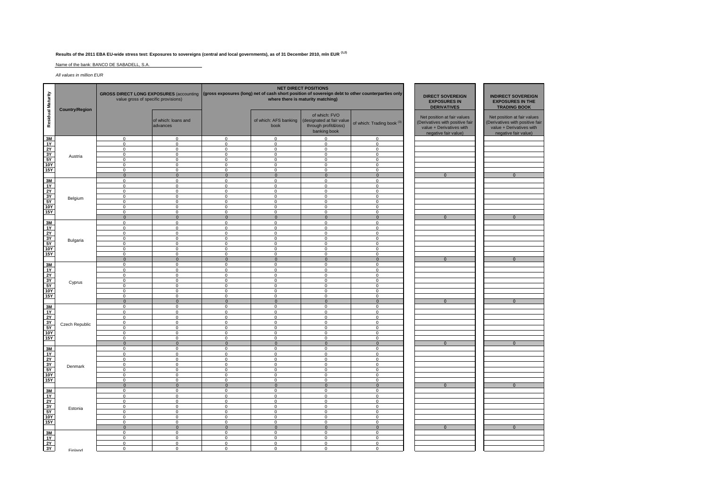## **Results of the 2011 EBA EU-wide stress test: Exposures to sovereigns (central and local governments), as of 31 December 2010, mln EUR (1,2)**

Name of the bank: BANCO DE SABADELL, S.A.

*All values in million EUR*

| Residual Maturity                | <b>Country/Region</b> | GROSS DIRECT LONG EXPOSURES (accounting (gross exposures (long) net of cash short position of sovereign debt to other counterparties only<br>value gross of specific provisions) |                                 |                               |                               | <b>NET DIRECT POSITIONS</b><br>where there is maturity matching)                   | <b>DIRECT SOVEREIGN</b><br><b>EXPOSURES IN</b><br><b>DERIVATIVES</b> | <b>INDIRECT SOVEREIGN</b><br><b>EXPOSURES IN THE</b><br><b>TRADING BOOK</b>                                        |                                                                                                                    |  |
|----------------------------------|-----------------------|----------------------------------------------------------------------------------------------------------------------------------------------------------------------------------|---------------------------------|-------------------------------|-------------------------------|------------------------------------------------------------------------------------|----------------------------------------------------------------------|--------------------------------------------------------------------------------------------------------------------|--------------------------------------------------------------------------------------------------------------------|--|
|                                  |                       |                                                                                                                                                                                  | of which: loans and<br>advances |                               | of which: AFS banking<br>book | of which: FVO<br>(designated at fair value<br>through profit&loss)<br>banking book | of which: Trading book <sup>(3)</sup>                                | Net position at fair values<br>(Derivatives with positive fair<br>value + Derivatives with<br>negative fair value) | Net position at fair values<br>(Derivatives with positive fair<br>value + Derivatives with<br>negative fair value) |  |
| 3M                               |                       | $\mathbf{0}$                                                                                                                                                                     | $\Omega$                        | $\mathbf{0}$                  | $\Omega$                      | $\Omega$                                                                           | $\Omega$                                                             |                                                                                                                    |                                                                                                                    |  |
| 1Y<br>2Y                         |                       | $\mathbf 0$<br>$\mathsf 0$                                                                                                                                                       | $\mathbf 0$<br>$\mathsf 0$      | $\mathbf 0$<br>$\mathsf 0$    | $\mathbf{0}$<br>$\mathbf 0$   | $\mathbf 0$<br>$\mathbf 0$                                                         | $\mathbf 0$<br>$\mathbf 0$                                           |                                                                                                                    |                                                                                                                    |  |
| 3Y                               |                       | $\overline{0}$                                                                                                                                                                   | $\overline{0}$                  | $\mathbf 0$                   | $\overline{0}$                | $\overline{0}$                                                                     | $\Omega$                                                             |                                                                                                                    |                                                                                                                    |  |
| $rac{5Y}{10Y}$                   | Austria               | $\mathsf 0$                                                                                                                                                                      | $\mathsf 0$                     | $\mathbf 0$                   | $\mathsf 0$                   | $\mathbf 0$                                                                        | $\mathbf 0$                                                          |                                                                                                                    |                                                                                                                    |  |
|                                  |                       | $\Omega$                                                                                                                                                                         | $\mathbf 0$                     | $\mathbf 0$                   | $\mathbf{0}$                  | $\Omega$                                                                           | $\Omega$                                                             |                                                                                                                    |                                                                                                                    |  |
| 15Y                              |                       | $\mathbf 0$                                                                                                                                                                      | $\mathbf 0$                     | $\mathbf 0$                   | $\mathbf 0$                   | $\overline{0}$                                                                     | $\Omega$                                                             |                                                                                                                    |                                                                                                                    |  |
| 3M                               |                       | $\mathbf{0}$<br>$\mathbf{0}$                                                                                                                                                     | $\mathbf 0$<br>$\mathbf 0$      | $\mathbf{0}$<br>$\mathbf{0}$  | $\mathbf 0$<br>$\mathbf{0}$   | $\mathbf{0}$<br>$\mathbf{0}$                                                       | $\mathbf{0}$<br>$\mathbf 0$                                          | $\overline{0}$                                                                                                     | $\overline{0}$                                                                                                     |  |
| 1Y                               |                       | $\Omega$                                                                                                                                                                         | $\Omega$                        | $\mathbf 0$                   | $\mathbf 0$                   | $\mathbf 0$                                                                        | $\Omega$                                                             |                                                                                                                    |                                                                                                                    |  |
|                                  |                       | $\mathbf 0$                                                                                                                                                                      | $\mathbf 0$                     | $\mathbf 0$                   | $\mathbf 0$                   | $\mathsf 0$                                                                        | $\mathbf 0$                                                          |                                                                                                                    |                                                                                                                    |  |
| $\frac{2Y}{3Y}$                  | Belgium               | $\mathbf 0$                                                                                                                                                                      | $\overline{0}$                  | $\mathsf 0$                   | $\overline{0}$                | $\overline{0}$                                                                     | $\mathbf 0$                                                          |                                                                                                                    |                                                                                                                    |  |
|                                  |                       | $\mathbf 0$                                                                                                                                                                      | $\mathbf 0$                     | $\mathbf 0$                   | $\mathbf 0$                   | $\mathbf 0$                                                                        | $\mathbf 0$                                                          |                                                                                                                    |                                                                                                                    |  |
| $\frac{10Y}{15Y}$                |                       | $\Omega$<br>$\Omega$                                                                                                                                                             | $\Omega$<br>$\mathbf 0$         | $\mathbf 0$<br>$\mathbf 0$    | $\mathbf{0}$<br>$\mathbf 0$   | $\mathbf 0$<br>$\overline{0}$                                                      | $\Omega$<br>$\Omega$                                                 |                                                                                                                    |                                                                                                                    |  |
|                                  |                       | $\mathbf 0$                                                                                                                                                                      | $\mathbf 0$                     | $\mathbf{0}$                  | $\mathbf{0}$                  | $\overline{0}$                                                                     | $\Omega$                                                             | $\mathbf{0}$                                                                                                       | $\mathbf{0}$                                                                                                       |  |
|                                  |                       | $\mathbf 0$                                                                                                                                                                      | $\mathbf 0$                     | $\mathbf 0$                   | $\mathbf{0}$                  | $\mathbf 0$                                                                        | $\mathbf 0$                                                          |                                                                                                                    |                                                                                                                    |  |
| $\frac{3M}{1Y}$                  |                       | $\mathbf 0$                                                                                                                                                                      | $\Omega$                        | $\mathbf 0$                   | $\Omega$                      | $\Omega$                                                                           | $\Omega$                                                             |                                                                                                                    |                                                                                                                    |  |
| [후]이 있다                          |                       | $\mathbf 0$                                                                                                                                                                      | $\Omega$                        | $\mathbf 0$                   | $\mathbf 0$                   | $\mathbf 0$                                                                        | $\Omega$                                                             |                                                                                                                    |                                                                                                                    |  |
|                                  | Bulgaria              | $\mathsf 0$                                                                                                                                                                      | $\mathbf 0$                     | $\mathbf 0$                   | $\mathbf 0$                   | $\mathbf 0$                                                                        | $\mathbf 0$                                                          |                                                                                                                    |                                                                                                                    |  |
|                                  |                       | $\mathbf 0$<br>$\Omega$                                                                                                                                                          | $\mathbf 0$<br>$\mathbf 0$      | $\mathbf 0$<br>$\mathbf 0$    | $\Omega$<br>$\mathbf 0$       | $\mathbf 0$<br>$\mathbf 0$                                                         | $\mathbf 0$<br>$\Omega$                                              |                                                                                                                    |                                                                                                                    |  |
|                                  |                       | $\mathbf 0$                                                                                                                                                                      | $\overline{0}$                  | $\mathbf 0$                   | $\mathbf 0$                   | $\overline{0}$                                                                     | $\Omega$                                                             |                                                                                                                    |                                                                                                                    |  |
|                                  |                       | $\overline{0}$                                                                                                                                                                   | $\overline{0}$                  | $\mathbf{0}$                  | $\mathbf{0}$                  | $\overline{0}$                                                                     | $\Omega$                                                             | $\mathbf{0}$                                                                                                       | $\mathbf{0}$                                                                                                       |  |
| $\frac{3M}{1Y}$                  |                       | $\mathbf 0$                                                                                                                                                                      | $\mathbf 0$                     | $\mathbf{0}$                  | $\mathbf{0}$                  | $\overline{0}$                                                                     | $\mathbf 0$                                                          |                                                                                                                    |                                                                                                                    |  |
|                                  |                       | $\mathbf 0$                                                                                                                                                                      | $\mathbf 0$                     | $\mathsf 0$                   | $\mathsf 0$                   | $\mathsf 0$                                                                        | $\Omega$                                                             |                                                                                                                    |                                                                                                                    |  |
| $\frac{2Y}{3Y}$                  |                       | $\mathbf 0$<br>$\mathbf 0$                                                                                                                                                       | $\overline{0}$<br>$\mathbf 0$   | $\mathbf 0$<br>$\mathsf 0$    | $\mathbf 0$<br>$\mathsf 0$    | $\overline{0}$<br>$\overline{0}$                                                   | $\Omega$<br>$\mathbf 0$                                              |                                                                                                                    |                                                                                                                    |  |
|                                  | Cyprus                | $\mathbf 0$                                                                                                                                                                      | $\mathbf 0$                     | $\mathbf 0$                   | $\mathsf 0$                   | $\mathbf 0$                                                                        | $\mathbf 0$                                                          |                                                                                                                    |                                                                                                                    |  |
|                                  |                       | $\mathbf 0$                                                                                                                                                                      | $\mathsf 0$                     | $\mathbf 0$                   | $\mathsf 0$                   | $\overline{0}$                                                                     | $\Omega$                                                             |                                                                                                                    |                                                                                                                    |  |
| $\frac{10Y}{15Y}$                |                       | $\mathbf 0$                                                                                                                                                                      | $\mathbf 0$                     | $\mathbf 0$                   | $\mathsf 0$                   | $\overline{0}$                                                                     | $\Omega$                                                             |                                                                                                                    |                                                                                                                    |  |
|                                  |                       | $\mathbf{0}$                                                                                                                                                                     | $\mathbf{0}$                    | $\mathbf{0}$                  | $\mathbf{0}$                  | $\overline{0}$                                                                     | $\mathbf{0}$                                                         | $\mathbf{0}$                                                                                                       | $\mathbf{0}$                                                                                                       |  |
|                                  |                       | $\Omega$<br>$\mathbf 0$                                                                                                                                                          | $\Omega$<br>$\mathbf 0$         | $\Omega$<br>$\mathsf 0$       | $\Omega$<br>$\mathsf 0$       | $\Omega$<br>$\mathbf 0$                                                            | $\Omega$<br>$\mathbf 0$                                              |                                                                                                                    |                                                                                                                    |  |
|                                  |                       | $\mathbf 0$                                                                                                                                                                      | $\overline{0}$                  | $\mathbf 0$                   | $\Omega$                      | $\mathbf 0$                                                                        | $\Omega$                                                             |                                                                                                                    |                                                                                                                    |  |
|                                  | Czech Republic        | $\mathbf 0$                                                                                                                                                                      | $\mathbf 0$                     | $\mathbf 0$                   | $\Omega$                      | $\mathbf 0$                                                                        | $\Omega$                                                             |                                                                                                                    |                                                                                                                    |  |
| 렸음생성                             |                       | $\mathbf{0}$                                                                                                                                                                     | $\mathbf 0$                     | $\mathbf 0$                   | $\mathbf 0$                   | $\mathbf 0$                                                                        | $\mathbf 0$                                                          |                                                                                                                    |                                                                                                                    |  |
|                                  |                       | $\mathbf 0$                                                                                                                                                                      | $\overline{0}$                  | $\mathbf 0$                   | $\mathbf 0$                   | $\overline{0}$                                                                     | $\Omega$                                                             |                                                                                                                    |                                                                                                                    |  |
|                                  |                       | $\mathbf 0$<br>$\mathbf{0}$                                                                                                                                                      | $\mathbf 0$<br>$\mathbf{0}$     | $\mathbf 0$<br>$\overline{0}$ | $\mathbf 0$<br>$\mathbf{0}$   | $\mathsf 0$<br>$\overline{0}$                                                      | $\mathbf 0$<br>$\mathbf{0}$                                          | $\Omega$                                                                                                           | $\mathbf{0}$                                                                                                       |  |
| 3M                               |                       | $\Omega$                                                                                                                                                                         | $\Omega$                        | $\Omega$                      | $\mathbf 0$                   | $\Omega$                                                                           | $\Omega$                                                             |                                                                                                                    |                                                                                                                    |  |
| 1Y                               |                       | $\mathbf 0$                                                                                                                                                                      | $\mathbf 0$                     | $\mathsf 0$                   | $\mathsf 0$                   | $\mathsf 0$                                                                        | $\mathbf 0$                                                          |                                                                                                                    |                                                                                                                    |  |
| $\frac{2y}{5Y}$                  |                       | $\mathbf 0$                                                                                                                                                                      | $\mathbf 0$                     | $\mathbf 0$                   | $\mathbf 0$                   | $\mathbf 0$                                                                        | $\mathbf 0$                                                          |                                                                                                                    |                                                                                                                    |  |
|                                  | Denmark               | $\mathbf 0$<br>$\Omega$                                                                                                                                                          | $\mathbf 0$<br>$\Omega$         | $\Omega$<br>$\mathbf 0$       | $\Omega$<br>$\mathbf 0$       | $\mathbf 0$<br>$\Omega$                                                            | $\Omega$<br>$\Omega$                                                 |                                                                                                                    |                                                                                                                    |  |
|                                  |                       | $\mathbf 0$                                                                                                                                                                      | $\overline{0}$                  | $\mathbf 0$                   | $\overline{0}$                | $\overline{0}$                                                                     | $\Omega$                                                             |                                                                                                                    |                                                                                                                    |  |
| <b>15Y</b>                       |                       | $\mathbf{0}$                                                                                                                                                                     | $\mathbf 0$                     | $^{\circ}$                    | $\mathbf{0}$                  | $\mathbf{0}$                                                                       | $\Omega$                                                             |                                                                                                                    |                                                                                                                    |  |
|                                  |                       | $\mathbf{0}$                                                                                                                                                                     | $\mathbf{0}$                    | $\overline{0}$                | $\mathbf{0}$                  | $\overline{0}$                                                                     | $\Omega$                                                             | $\Omega$                                                                                                           | $\Omega$                                                                                                           |  |
| $\frac{3M}{1Y}$                  |                       | $\mathbf 0$                                                                                                                                                                      | $\mathbf 0$                     | $\mathsf 0$                   | $\mathsf 0$                   | $\mathbf 0$                                                                        | $\Omega$                                                             |                                                                                                                    |                                                                                                                    |  |
|                                  |                       | $\mathsf 0$                                                                                                                                                                      | $\overline{0}$                  | $\mathsf 0$                   | $\mathsf 0$                   | $\overline{0}$                                                                     | $\mathbf 0$                                                          |                                                                                                                    |                                                                                                                    |  |
|                                  |                       | $\mathbf 0$<br>$\mathbf 0$                                                                                                                                                       | $\overline{0}$<br>$\mathbf 0$   | $\mathbf 0$<br>$\mathbf 0$    | $\mathbf 0$<br>$\mathbf 0$    | $\overline{0}$<br>$\mathbf 0$                                                      | $\mathbf 0$<br>$\mathbf 0$                                           |                                                                                                                    |                                                                                                                    |  |
|                                  | Estonia               | $\mathbf{0}$                                                                                                                                                                     | $\mathbf 0$                     | $\mathbf 0$                   | $\mathbf 0$                   | $\mathsf 0$                                                                        | $\Omega$                                                             |                                                                                                                    |                                                                                                                    |  |
| $\frac{2Y}{3Y}$ $\frac{3Y}{10Y}$ |                       | $\mathbf{0}$                                                                                                                                                                     | $\overline{0}$                  | $\mathbf 0$                   | $\mathbf 0$                   | $\overline{0}$                                                                     | $\mathbf 0$                                                          |                                                                                                                    |                                                                                                                    |  |
| 15Y                              |                       | $\mathbf 0$                                                                                                                                                                      | $\mathbf 0$                     | $\mathbf 0$                   | $\mathbf 0$                   | $\mathbf 0$                                                                        | $\mathbf 0$                                                          |                                                                                                                    |                                                                                                                    |  |
|                                  |                       | $\mathbf{0}$                                                                                                                                                                     | $\mathbf{0}$                    | $\overline{0}$                | $\mathbf{0}$                  | $\mathbf{0}$                                                                       | $\mathbf{0}$                                                         | $\mathbf{0}$                                                                                                       | $\mathbf{0}$                                                                                                       |  |
| $\frac{3M}{1Y}$                  |                       | $\mathbf 0$<br>$\Omega$                                                                                                                                                          | $\mathbf 0$<br>$\overline{0}$   | $\mathbf 0$<br>$\mathbf 0$    | $\mathsf 0$<br>$\Omega$       | $\mathsf 0$<br>$\overline{0}$                                                      | $\mathbf 0$<br>$\Omega$                                              |                                                                                                                    |                                                                                                                    |  |
| 2Y                               |                       | $\mathbf 0$                                                                                                                                                                      | $\mathbf 0$                     | $\mathbf 0$                   | $\mathbf 0$                   | $\mathbf 0$                                                                        | $\mathbf 0$                                                          |                                                                                                                    |                                                                                                                    |  |
| $\frac{1}{3Y}$                   |                       | $\mathbf 0$                                                                                                                                                                      | $\mathsf 0$                     | $\mathbf 0$                   | $\mathsf 0$                   | $\mathsf 0$                                                                        | $\mathbf 0$                                                          |                                                                                                                    |                                                                                                                    |  |
|                                  | Finland               |                                                                                                                                                                                  |                                 |                               |                               |                                                                                    |                                                                      |                                                                                                                    |                                                                                                                    |  |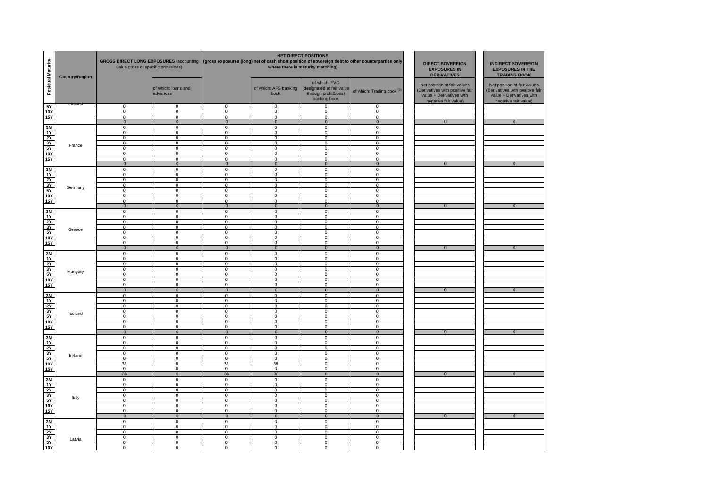| Residual Maturity                                                                                                                                                                                                                                                                                                                                                                                                                                                                                                                                                                                             | <b>Country/Region</b> | <b>GROSS DIRECT LONG EXPOSURES (accounting</b><br>value gross of specific provisions) |                                  |                               |                               | <b>NET DIRECT POSITIONS</b><br>(gross exposures (long) net of cash short position of sovereign debt to other counterparties only<br>where there is maturity matching) | <b>DIRECT SOVEREIGN</b><br><b>EXPOSURES IN</b><br><b>DERIVATIVES</b> | <b>INDIRECT SOVEREIGN</b><br><b>EXPOSURES IN THE</b><br><b>TRADING BOOK</b>                                        |                                                                                                                   |
|---------------------------------------------------------------------------------------------------------------------------------------------------------------------------------------------------------------------------------------------------------------------------------------------------------------------------------------------------------------------------------------------------------------------------------------------------------------------------------------------------------------------------------------------------------------------------------------------------------------|-----------------------|---------------------------------------------------------------------------------------|----------------------------------|-------------------------------|-------------------------------|-----------------------------------------------------------------------------------------------------------------------------------------------------------------------|----------------------------------------------------------------------|--------------------------------------------------------------------------------------------------------------------|-------------------------------------------------------------------------------------------------------------------|
|                                                                                                                                                                                                                                                                                                                                                                                                                                                                                                                                                                                                               |                       |                                                                                       | of which: loans and<br>advances  |                               | of which: AFS banking<br>book | of which: FVO<br>(designated at fair value<br>through profit&loss)<br>banking book                                                                                    | of which: Trading book <sup>(3)</sup>                                | Net position at fair values<br>(Derivatives with positive fair<br>value + Derivatives with<br>negative fair value) | Net position at fair values<br>Derivatives with positive fair<br>value + Derivatives with<br>negative fair value) |
| 5Y                                                                                                                                                                                                                                                                                                                                                                                                                                                                                                                                                                                                            |                       | $\mathbf 0$                                                                           | $\mathbf 0$                      | $\mathbf 0$                   | $\mathbf 0$                   | 0                                                                                                                                                                     | $\mathbf 0$                                                          |                                                                                                                    |                                                                                                                   |
| <b>10Y</b><br>15Y                                                                                                                                                                                                                                                                                                                                                                                                                                                                                                                                                                                             |                       | $\overline{0}$<br>$\Omega$                                                            | $\mathbf 0$<br>$\Omega$          | $\mathbf 0$<br>$\mathbf 0$    | 0<br>$\Omega$                 | 0<br>$\Omega$                                                                                                                                                         | $\overline{0}$<br>$\mathbf 0$                                        |                                                                                                                    |                                                                                                                   |
|                                                                                                                                                                                                                                                                                                                                                                                                                                                                                                                                                                                                               |                       | $\Omega$                                                                              | $\Omega$                         | $\mathbf{0}$                  | $\overline{0}$                | $\overline{0}$                                                                                                                                                        | $\overline{0}$                                                       | $\overline{0}$                                                                                                     | $\overline{0}$                                                                                                    |
| $\frac{3M}{1Y}$                                                                                                                                                                                                                                                                                                                                                                                                                                                                                                                                                                                               |                       | $\Omega$                                                                              | $\Omega$                         | $\mathbf 0$                   | $\mathbf 0$                   | $\Omega$                                                                                                                                                              | $\mathbf 0$                                                          |                                                                                                                    |                                                                                                                   |
|                                                                                                                                                                                                                                                                                                                                                                                                                                                                                                                                                                                                               |                       | $\Omega$                                                                              | $\Omega$                         | $\Omega$                      | $\Omega$                      | $\Omega$                                                                                                                                                              | $\Omega$                                                             |                                                                                                                    |                                                                                                                   |
|                                                                                                                                                                                                                                                                                                                                                                                                                                                                                                                                                                                                               |                       | $\Omega$                                                                              | $\Omega$                         | $\Omega$                      | $\Omega$                      | $\Omega$                                                                                                                                                              | $\Omega$                                                             |                                                                                                                    |                                                                                                                   |
|                                                                                                                                                                                                                                                                                                                                                                                                                                                                                                                                                                                                               | France                | $\mathbf 0$<br>$\mathbf 0$                                                            | $\mathbf 0$<br>$\Omega$          | $\mathbf 0$<br>$\Omega$       | $\mathbf 0$<br>$\mathbf 0$    | $\mathbf{0}$<br>$\mathbf 0$                                                                                                                                           | $\mathbf 0$<br>$\mathbf 0$                                           |                                                                                                                    |                                                                                                                   |
| $\frac{2Y}{3Y}$ $\frac{5Y}{15Y}$                                                                                                                                                                                                                                                                                                                                                                                                                                                                                                                                                                              |                       | $\mathbf{0}$                                                                          | $\mathbf 0$                      | $^{\circ}$                    | $\mathbf 0$                   | $\mathbf{0}$                                                                                                                                                          | $\mathbf 0$                                                          |                                                                                                                    |                                                                                                                   |
|                                                                                                                                                                                                                                                                                                                                                                                                                                                                                                                                                                                                               |                       | $\mathbf{0}$                                                                          | $\mathbf 0$                      | $\mathbf 0$                   | 0                             | $\mathbf{0}$                                                                                                                                                          | $\mathbf 0$                                                          |                                                                                                                    |                                                                                                                   |
|                                                                                                                                                                                                                                                                                                                                                                                                                                                                                                                                                                                                               |                       | $\mathbf{0}$                                                                          | $\mathbf{0}$                     | $\overline{0}$                | $\mathbf{0}$                  | $\mathbf{0}$                                                                                                                                                          | $\overline{0}$                                                       | $\overline{0}$                                                                                                     | $\overline{0}$                                                                                                    |
| $\frac{3M}{1Y}$ $\frac{2Y}{3Y}$ $\frac{5Y}{10Y}$                                                                                                                                                                                                                                                                                                                                                                                                                                                                                                                                                              |                       | $\mathbf 0$                                                                           | $\mathbf 0$                      | $\mathbf 0$                   | $\mathbf 0$                   | $\mathbf 0$                                                                                                                                                           | $\mathbf 0$                                                          |                                                                                                                    |                                                                                                                   |
|                                                                                                                                                                                                                                                                                                                                                                                                                                                                                                                                                                                                               |                       | $\mathsf 0$                                                                           | $\mathbf 0$                      | $\mathsf 0$                   | $\mathsf 0$                   | $\mathbf 0$                                                                                                                                                           | $\mathbf 0$                                                          |                                                                                                                    |                                                                                                                   |
|                                                                                                                                                                                                                                                                                                                                                                                                                                                                                                                                                                                                               |                       | $\mathbf{0}$<br>$\mathbf{0}$                                                          | $\mathbf{0}$<br>$\mathbf 0$      | $\mathbf 0$<br>$\mathbf 0$    | $\mathbf{0}$<br>$\mathsf 0$   | $\mathbf{0}$<br>$\mathbf{0}$                                                                                                                                          | $\mathbf{0}$<br>$\mathbf 0$                                          |                                                                                                                    |                                                                                                                   |
|                                                                                                                                                                                                                                                                                                                                                                                                                                                                                                                                                                                                               | Germany               | $\mathsf 0$                                                                           | $\Omega$                         | $\mathbf 0$                   | $\mathsf 0$                   | 0                                                                                                                                                                     | $\mathbf 0$                                                          |                                                                                                                    |                                                                                                                   |
|                                                                                                                                                                                                                                                                                                                                                                                                                                                                                                                                                                                                               |                       | $\Omega$                                                                              | $\Omega$                         | $\Omega$                      | $\Omega$                      | $\Omega$                                                                                                                                                              | $\Omega$                                                             |                                                                                                                    |                                                                                                                   |
| 15Y                                                                                                                                                                                                                                                                                                                                                                                                                                                                                                                                                                                                           |                       | $\Omega$                                                                              | $\mathsf 0$                      | $\mathbf 0$                   | $\mathsf 0$                   | 0                                                                                                                                                                     | $\mathbf 0$                                                          |                                                                                                                    |                                                                                                                   |
|                                                                                                                                                                                                                                                                                                                                                                                                                                                                                                                                                                                                               |                       | $\mathbf 0$<br>$\mathbf 0$                                                            | $\mathbf 0$<br>$\Omega$          | $\mathbf 0$<br>$\mathbf 0$    | $\mathbf 0$<br>0              | $\mathbf 0$<br>$\mathbf 0$                                                                                                                                            | $\mathbf 0$<br>$\mathbf 0$                                           | $\bf{0}$                                                                                                           | $\overline{0}$                                                                                                    |
| $\begin{array}{r}\n\hline\n3M \\ \hline\n1Y \\ \hline\n2Y \\ \hline\n3Y\n\end{array}$                                                                                                                                                                                                                                                                                                                                                                                                                                                                                                                         |                       | $\mathbf 0$                                                                           | $\mathbf 0$                      | $\mathbf 0$                   | 0                             | 0                                                                                                                                                                     | $\mathbf 0$                                                          |                                                                                                                    |                                                                                                                   |
|                                                                                                                                                                                                                                                                                                                                                                                                                                                                                                                                                                                                               |                       | $\mathsf 0$                                                                           | $\mathbf 0$                      | $\mathbf 0$                   | 0                             | 0                                                                                                                                                                     | $\mathsf 0$                                                          |                                                                                                                    |                                                                                                                   |
|                                                                                                                                                                                                                                                                                                                                                                                                                                                                                                                                                                                                               | Greece                | $\mathsf 0$                                                                           | $\Omega$                         | $\mathsf 0$                   | $\mathbf 0$                   | 0                                                                                                                                                                     | $\mathsf 0$                                                          |                                                                                                                    |                                                                                                                   |
| 5Y                                                                                                                                                                                                                                                                                                                                                                                                                                                                                                                                                                                                            |                       | $\mathsf 0$                                                                           | $\mathbf 0$                      | $\mathbf 0$                   | $\mathsf 0$                   | 0                                                                                                                                                                     | $\mathbf 0$                                                          |                                                                                                                    |                                                                                                                   |
| <b>10Y</b><br>15Y                                                                                                                                                                                                                                                                                                                                                                                                                                                                                                                                                                                             |                       | $\mathbf 0$<br>$\Omega$                                                               | $\Omega$<br>$\Omega$             | $\mathbf 0$<br>$\mathbf 0$    | $\mathbf 0$<br>$\mathbf 0$    | $\mathbf 0$<br>$\Omega$                                                                                                                                               | $\mathbf 0$<br>$\mathbf 0$                                           |                                                                                                                    |                                                                                                                   |
|                                                                                                                                                                                                                                                                                                                                                                                                                                                                                                                                                                                                               |                       | $\mathbf{0}$                                                                          | $\mathbf{0}$                     | $\mathbf{0}$                  | $\mathbf{0}$                  | $\mathbf{0}$                                                                                                                                                          | $\mathbf{0}$                                                         | $\mathbf{0}$                                                                                                       | $\mathbf{0}$                                                                                                      |
| $\frac{3M}{1Y}$ $\frac{2Y}{3Y}$ $\frac{5Y}{10Y}$                                                                                                                                                                                                                                                                                                                                                                                                                                                                                                                                                              |                       | $\mathbf 0$                                                                           | $\mathbf 0$                      | $\mathbf 0$                   | $\mathbf 0$                   | $\mathbf 0$                                                                                                                                                           | $\mathbf 0$                                                          |                                                                                                                    |                                                                                                                   |
|                                                                                                                                                                                                                                                                                                                                                                                                                                                                                                                                                                                                               |                       | $\mathbf 0$                                                                           | $\mathbf 0$                      | $\mathbf 0$                   | $\mathbf 0$                   | $\mathbf{0}$                                                                                                                                                          | $\mathbf 0$                                                          |                                                                                                                    |                                                                                                                   |
|                                                                                                                                                                                                                                                                                                                                                                                                                                                                                                                                                                                                               |                       | $\mathsf 0$                                                                           | $\mathsf 0$                      | $\mathsf 0$                   | $\mathsf 0$                   | 0                                                                                                                                                                     | $\mathbf 0$                                                          |                                                                                                                    |                                                                                                                   |
|                                                                                                                                                                                                                                                                                                                                                                                                                                                                                                                                                                                                               | Hungary               | $\mathsf 0$<br>$\mathsf 0$                                                            | $\mathbf 0$<br>$\mathbf 0$       | $\mathbf 0$<br>$\mathbf 0$    | $\mathsf 0$<br>$\mathsf 0$    | $\mathsf 0$<br>$\mathsf 0$                                                                                                                                            | $\mathbf 0$<br>$\mathsf 0$                                           |                                                                                                                    |                                                                                                                   |
|                                                                                                                                                                                                                                                                                                                                                                                                                                                                                                                                                                                                               |                       | $\mathbf 0$                                                                           | $\mathbf 0$                      | $\mathbf 0$                   | 0                             | $\mathbf 0$                                                                                                                                                           | $\mathbf 0$                                                          |                                                                                                                    |                                                                                                                   |
|                                                                                                                                                                                                                                                                                                                                                                                                                                                                                                                                                                                                               |                       | $\mathbf 0$                                                                           | $\mathbf 0$                      | $\mathbf 0$                   | 0                             | $\mathbf 0$                                                                                                                                                           | $\mathbf 0$                                                          |                                                                                                                    |                                                                                                                   |
|                                                                                                                                                                                                                                                                                                                                                                                                                                                                                                                                                                                                               |                       | $\mathbf{0}$                                                                          | $\mathbf{0}$                     | $\mathbf{0}$                  | $\overline{0}$                | $\mathbf 0$                                                                                                                                                           | $\mathbf{0}$                                                         | $\overline{0}$                                                                                                     | $\overline{0}$                                                                                                    |
|                                                                                                                                                                                                                                                                                                                                                                                                                                                                                                                                                                                                               |                       | $\mathsf 0$                                                                           | $\mathbf 0$                      | $\mathbf 0$                   | $\mathsf 0$                   | $\mathbf 0$                                                                                                                                                           | $\mathbf 0$                                                          |                                                                                                                    |                                                                                                                   |
|                                                                                                                                                                                                                                                                                                                                                                                                                                                                                                                                                                                                               |                       | $\mathbf 0$<br>$\mathbf 0$                                                            | $\mathbf 0$<br>$\mathbf 0$       | $\mathbf 0$<br>$\mathbf 0$    | $\mathsf 0$<br>$\mathbf 0$    | $\mathbf 0$<br>$\mathbf{0}$                                                                                                                                           | $\mathsf 0$<br>$\mathbf 0$                                           |                                                                                                                    |                                                                                                                   |
|                                                                                                                                                                                                                                                                                                                                                                                                                                                                                                                                                                                                               |                       | $\mathbf 0$                                                                           | $\mathbf 0$                      | $\mathbf 0$                   | $\mathbf 0$                   | $\mathbf{0}$                                                                                                                                                          | $\mathbf 0$                                                          |                                                                                                                    |                                                                                                                   |
|                                                                                                                                                                                                                                                                                                                                                                                                                                                                                                                                                                                                               | Iceland               | $\Omega$                                                                              | $\mathbf 0$                      | $\mathbf 0$                   | $\mathbf 0$                   | $\mathbf 0$                                                                                                                                                           | $\mathbf 0$                                                          |                                                                                                                    |                                                                                                                   |
|                                                                                                                                                                                                                                                                                                                                                                                                                                                                                                                                                                                                               |                       | $\mathbf 0$                                                                           | $\mathbf 0$                      | $\mathbf 0$                   | $\mathsf 0$                   | $\mathsf 0$                                                                                                                                                           | $\mathbf 0$                                                          |                                                                                                                    |                                                                                                                   |
| 15Y<br>3M<br>3M<br>12Y<br>3Y<br>5Y<br>10Y<br>15Y<br>15Y                                                                                                                                                                                                                                                                                                                                                                                                                                                                                                                                                       |                       | $\mathbf 0$<br>$\mathbf 0$                                                            | $\mathbf 0$<br>$\mathbf 0$       | $\mathbf 0$<br>$\mathbf{0}$   | $\mathsf 0$<br>$\mathbf 0$    | $\mathsf 0$<br>$\mathbf{0}$                                                                                                                                           | $\mathbf 0$<br>$\mathbf 0$                                           | $\bf{0}$                                                                                                           | $\bf{0}$                                                                                                          |
|                                                                                                                                                                                                                                                                                                                                                                                                                                                                                                                                                                                                               |                       | $\mathbf 0$                                                                           | $\Omega$                         | $\mathbf 0$                   | 0                             | 0                                                                                                                                                                     | $\mathbf 0$                                                          |                                                                                                                    |                                                                                                                   |
| $\frac{3M}{1Y}$ $\frac{2Y}{3Y}$ $\frac{3Y}{5Y}$                                                                                                                                                                                                                                                                                                                                                                                                                                                                                                                                                               |                       | $\mathbf 0$                                                                           | $\mathbf 0$                      | $\mathbf 0$                   | $\mathsf 0$                   | 0                                                                                                                                                                     | $\mathsf 0$                                                          |                                                                                                                    |                                                                                                                   |
|                                                                                                                                                                                                                                                                                                                                                                                                                                                                                                                                                                                                               |                       | $\mathbf 0$                                                                           | $\mathbf 0$                      | $\mathbf 0$                   | $\mathsf 0$                   | $\mathsf 0$                                                                                                                                                           | $\mathsf 0$                                                          |                                                                                                                    |                                                                                                                   |
|                                                                                                                                                                                                                                                                                                                                                                                                                                                                                                                                                                                                               | Ireland               | $\overline{0}$                                                                        | $\overline{0}$                   | $\mathbf 0$                   | $\overline{0}$                | $\mathbf 0$                                                                                                                                                           | $\mathsf 0$                                                          |                                                                                                                    |                                                                                                                   |
| 10Y                                                                                                                                                                                                                                                                                                                                                                                                                                                                                                                                                                                                           |                       | $\overline{0}$<br>38                                                                  | $\overline{0}$<br>$\overline{0}$ | $\mathbf 0$<br>38             | $\overline{0}$<br>38          | $\overline{0}$<br>$\overline{0}$                                                                                                                                      | $\mathsf 0$<br>$\overline{0}$                                        |                                                                                                                    |                                                                                                                   |
| 15Y                                                                                                                                                                                                                                                                                                                                                                                                                                                                                                                                                                                                           |                       | $\overline{0}$                                                                        | $\overline{0}$                   | $\overline{0}$                | $\mathbf 0$                   | $\mathbf{0}$                                                                                                                                                          | $\overline{0}$                                                       |                                                                                                                    |                                                                                                                   |
|                                                                                                                                                                                                                                                                                                                                                                                                                                                                                                                                                                                                               |                       | 38                                                                                    | $\overline{0}$                   | 38                            | 38                            | $\overline{0}$                                                                                                                                                        | $\overline{0}$                                                       | $\overline{0}$                                                                                                     | $\overline{0}$                                                                                                    |
|                                                                                                                                                                                                                                                                                                                                                                                                                                                                                                                                                                                                               |                       | $\mathbf 0$                                                                           | $\mathbf 0$                      | $\mathbf 0$                   | $\mathbf 0$                   | $\mathbf 0$                                                                                                                                                           | $\mathbf 0$                                                          |                                                                                                                    |                                                                                                                   |
| $\begin{array}{c c} \underline{\hspace{1cm}} & \underline{\hspace{1cm}} & \underline{\hspace{1cm}} & \underline{\hspace{1cm}} & \underline{\hspace{1cm}} & \underline{\hspace{1cm}} & \underline{\hspace{1cm}} & \underline{\hspace{1cm}} & \underline{\hspace{1cm}} & \underline{\hspace{1cm}} & \underline{\hspace{1cm}} & \underline{\hspace{1cm}} & \underline{\hspace{1cm}} & \underline{\hspace{1cm}} & \underline{\hspace{1cm}} & \underline{\hspace{1cm}} & \underline{\hspace{1cm}} & \underline{\hspace{1cm}} & \underline{\hspace{1cm}} & \underline{\hspace{1cm}} & \underline{\hspace{1cm}} & \$ |                       | $\mathsf 0$                                                                           | $\mathbf 0$                      | $\mathsf 0$                   | $\mathbf 0$                   | 0                                                                                                                                                                     | $\mathbf 0$                                                          |                                                                                                                    |                                                                                                                   |
|                                                                                                                                                                                                                                                                                                                                                                                                                                                                                                                                                                                                               |                       | $\mathbf 0$<br>$\mathsf 0$                                                            | $\mathbf 0$<br>$\mathbf 0$       | $\mathbf 0$<br>$\mathbf 0$    | $\mathbf 0$<br>$\mathbf 0$    | $\mathbf 0$<br>$\mathbf 0$                                                                                                                                            | $\mathbf{0}$<br>$\mathbf 0$                                          |                                                                                                                    |                                                                                                                   |
|                                                                                                                                                                                                                                                                                                                                                                                                                                                                                                                                                                                                               | Italy                 | $\mathbf 0$                                                                           | $\mathbf 0$                      | $\mathbf 0$                   | $\mathbf 0$                   | $\mathbf 0$                                                                                                                                                           | $\mathbf{0}$                                                         |                                                                                                                    |                                                                                                                   |
|                                                                                                                                                                                                                                                                                                                                                                                                                                                                                                                                                                                                               |                       | $\mathsf 0$                                                                           | $\mathsf 0$                      | $\mathsf 0$                   | $\mathbf 0$                   | $\mathbf{0}$                                                                                                                                                          | $\mathbf 0$                                                          |                                                                                                                    |                                                                                                                   |
|                                                                                                                                                                                                                                                                                                                                                                                                                                                                                                                                                                                                               |                       | $\mathbf 0$                                                                           | $\Omega$                         | $\mathsf 0$                   | $\mathbf 0$                   | $\mathbf{0}$                                                                                                                                                          | $\mathbf 0$                                                          |                                                                                                                    |                                                                                                                   |
|                                                                                                                                                                                                                                                                                                                                                                                                                                                                                                                                                                                                               |                       | $\overline{0}$                                                                        | $\overline{0}$                   | $\overline{0}$                | $\overline{0}$                | $\overline{0}$                                                                                                                                                        | $\overline{0}$                                                       | $\overline{0}$                                                                                                     | $\overline{0}$                                                                                                    |
|                                                                                                                                                                                                                                                                                                                                                                                                                                                                                                                                                                                                               |                       | $\Omega$<br>$\mathbf 0$                                                               | $\Omega$<br>$\mathbf 0$          | $\overline{0}$<br>$\mathbf 0$ | $\overline{0}$<br>$\mathbf 0$ | $\mathbf{0}$<br>$\mathbf{0}$                                                                                                                                          | $\overline{0}$<br>$\mathbf 0$                                        |                                                                                                                    |                                                                                                                   |
|                                                                                                                                                                                                                                                                                                                                                                                                                                                                                                                                                                                                               |                       | $\mathbf 0$                                                                           | $\mathbf 0$                      | $\mathbf 0$                   | $\overline{0}$                | $\mathbf{0}$                                                                                                                                                          | $\overline{0}$                                                       |                                                                                                                    |                                                                                                                   |
|                                                                                                                                                                                                                                                                                                                                                                                                                                                                                                                                                                                                               |                       | $\Omega$                                                                              | $\mathbf 0$                      | $\mathbf 0$                   | $\mathbf 0$                   | 0                                                                                                                                                                     | $\mathbf 0$                                                          |                                                                                                                    |                                                                                                                   |
|                                                                                                                                                                                                                                                                                                                                                                                                                                                                                                                                                                                                               | Latvia                | $\Omega$                                                                              | $\mathbf 0$                      | $\mathbf 0$                   | 0                             | 0                                                                                                                                                                     | $\mathbf 0$                                                          |                                                                                                                    |                                                                                                                   |
|                                                                                                                                                                                                                                                                                                                                                                                                                                                                                                                                                                                                               |                       | $\Omega$                                                                              | $\Omega$                         | $\mathbf 0$                   | $\mathbf 0$                   | 0                                                                                                                                                                     | $\mathbf 0$                                                          |                                                                                                                    |                                                                                                                   |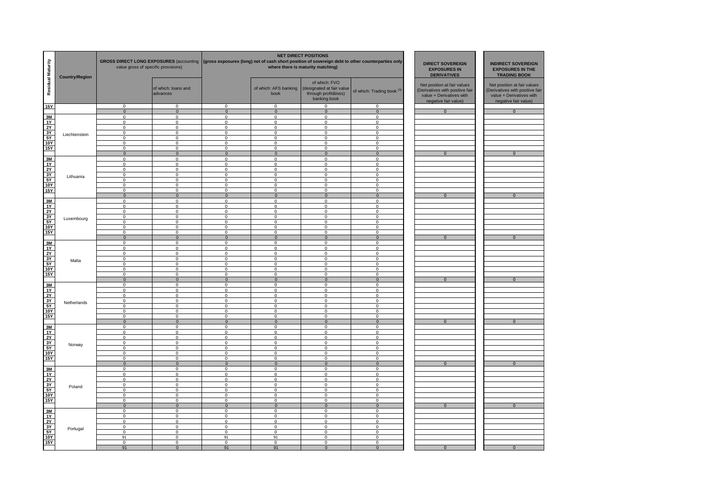| Residual Maturity                                                                                  | <b>Country/Region</b> | value gross of specific provisions) | <b>GROSS DIRECT LONG EXPOSURES (accounting</b> | <b>DIRECT SOVEREIGN</b><br><b>EXPOSURES IN</b><br><b>DERIVATIVES</b> | <b>INDIRECT SOVEREIGN</b><br><b>EXPOSURES IN THE</b><br><b>TRADING BOOK</b> |                                                                                    |                                       |                                                                                                                    |                                                                                                                   |
|----------------------------------------------------------------------------------------------------|-----------------------|-------------------------------------|------------------------------------------------|----------------------------------------------------------------------|-----------------------------------------------------------------------------|------------------------------------------------------------------------------------|---------------------------------------|--------------------------------------------------------------------------------------------------------------------|-------------------------------------------------------------------------------------------------------------------|
|                                                                                                    |                       |                                     | of which: loans and<br>advances                |                                                                      | of which: AFS banking<br>book                                               | of which: FVO<br>(designated at fair value<br>through profit&loss)<br>banking book | of which: Trading book <sup>(3)</sup> | Net position at fair values<br>(Derivatives with positive fair<br>value + Derivatives with<br>negative fair value) | Net position at fair values<br>Derivatives with positive fair<br>value + Derivatives with<br>negative fair value) |
| 15Y                                                                                                |                       | $\mathbf 0$                         | $\mathbf 0$                                    | $\mathbf 0$                                                          | $\mathbf 0$                                                                 | $\mathbf 0$                                                                        | $\mathbf 0$                           |                                                                                                                    |                                                                                                                   |
| 3M                                                                                                 |                       | $\overline{0}$<br>0                 | $\mathbf 0$<br>$\Omega$                        | $\mathbf{0}$<br>$\overline{0}$                                       | $\overline{0}$<br>$\mathbf 0$                                               | $\overline{0}$<br>$\mathbf 0$                                                      | $\overline{0}$<br>$\mathsf 0$         | $\overline{0}$                                                                                                     | $\overline{0}$                                                                                                    |
| 1Y                                                                                                 |                       | $\Omega$                            | $\mathbf 0$                                    | $\mathbf 0$                                                          | $\mathbf 0$                                                                 | $\mathsf 0$                                                                        | $\mathsf 0$                           |                                                                                                                    |                                                                                                                   |
| : 서 % 5                                                                                            |                       | $\overline{0}$<br>$\overline{0}$    | $\overline{0}$<br>$\overline{0}$               | $\overline{0}$<br>$\overline{0}$                                     | $\overline{0}$<br>$\overline{0}$                                            | $\overline{0}$<br>$\overline{0}$                                                   | $\overline{0}$<br>$\overline{0}$      |                                                                                                                    |                                                                                                                   |
|                                                                                                    | Liechtenstein         | $\Omega$                            | $\Omega$                                       | $\Omega$                                                             | $\Omega$                                                                    | $\Omega$                                                                           | $\Omega$                              |                                                                                                                    |                                                                                                                   |
| <b>10Y</b>                                                                                         |                       | $\overline{0}$                      | $\mathbf 0$                                    | $\overline{0}$                                                       | $\overline{0}$                                                              | $\overline{0}$                                                                     | $\overline{0}$                        |                                                                                                                    |                                                                                                                   |
| 15Y                                                                                                |                       | $\overline{0}$<br>$\mathbf 0$       | $\overline{0}$<br>$\mathbf 0$                  | $\overline{0}$<br>$\mathbf{0}$                                       | $\overline{0}$<br>$\mathbf{0}$                                              | $\overline{0}$<br>$\mathbf 0$                                                      | $\overline{0}$<br>$\mathbf{0}$        | $\overline{0}$                                                                                                     | $\overline{0}$                                                                                                    |
| 3M                                                                                                 |                       | $\mathbf 0$                         | $\mathbf 0$                                    | $\mathbf 0$                                                          | $\mathbf 0$                                                                 | $\mathbf 0$                                                                        | $\mathbf 0$                           |                                                                                                                    |                                                                                                                   |
| 1Y                                                                                                 |                       | $\mathbf 0$                         | $\mathbf 0$                                    | $\mathbf 0$                                                          | $\mathsf 0$                                                                 | $\mathbf 0$                                                                        | $\mathbf 0$                           |                                                                                                                    |                                                                                                                   |
| .<br>3<br>3<br>3<br>3<br>3                                                                         |                       | $\mathbf 0$<br>$\mathbf 0$          | 0<br>$\mathbf 0$                               | $\mathbf 0$<br>$\mathbf 0$                                           | $\mathbf 0$<br>$\mathbf 0$                                                  | $\mathbf 0$<br>$\mathsf 0$                                                         | $\mathbf{0}$<br>$\overline{0}$        |                                                                                                                    |                                                                                                                   |
|                                                                                                    | Lithuania             | $\mathsf 0$                         | 0                                              | $\mathbf 0$                                                          | $\mathsf 0$                                                                 | $\mathbf 0$                                                                        | $\overline{0}$                        |                                                                                                                    |                                                                                                                   |
| <b>10Y</b>                                                                                         |                       | $\mathbf 0$                         | $\mathbf 0$                                    | $\overline{0}$                                                       | $\overline{0}$                                                              | $\overline{0}$                                                                     | $\overline{0}$                        |                                                                                                                    |                                                                                                                   |
| <b>15Y</b>                                                                                         |                       | $\overline{0}$<br>$\overline{0}$    | $\Omega$<br>$\overline{0}$                     | $\overline{0}$<br>$\overline{0}$                                     | $\overline{0}$<br>$\overline{0}$                                            | $\overline{0}$<br>$\overline{0}$                                                   | $\overline{0}$<br>$\overline{0}$      | $\overline{0}$                                                                                                     | $\overline{0}$                                                                                                    |
|                                                                                                    |                       | 0                                   | $\mathbf 0$                                    | $\overline{0}$                                                       | $\overline{0}$                                                              | $\mathbf 0$                                                                        | $\overline{0}$                        |                                                                                                                    |                                                                                                                   |
| $\frac{3M}{1Y}$                                                                                    |                       | 0                                   | $\mathbf 0$                                    | $\overline{0}$                                                       | $\overline{0}$                                                              | $\overline{0}$                                                                     | $\overline{0}$                        |                                                                                                                    |                                                                                                                   |
| $\begin{array}{r}\n\overline{2Y} \\ \overline{3Y} \\ \overline{5Y} \\ \overline{10Y}\n\end{array}$ |                       | $\Omega$<br>$\Omega$                | $\Omega$                                       | $\overline{0}$                                                       | $\overline{0}$                                                              | $\mathbf 0$                                                                        | $\overline{0}$                        |                                                                                                                    |                                                                                                                   |
|                                                                                                    | Luxembourg            | 0                                   | $\mathbf 0$<br>$\mathbf 0$                     | $\mathbf 0$<br>$\mathbf 0$                                           | $\mathsf 0$<br>$\mathsf 0$                                                  | $\mathbf 0$<br>$\mathbf 0$                                                         | $\mathsf 0$<br>$\mathsf 0$            |                                                                                                                    |                                                                                                                   |
|                                                                                                    |                       | $\Omega$                            | $\mathbf 0$                                    | $\mathbf 0$                                                          | $\mathbf 0$                                                                 | $\mathbf 0$                                                                        | $\mathbf 0$                           |                                                                                                                    |                                                                                                                   |
| <b>15Y</b>                                                                                         |                       | 0                                   | $\mathbf 0$                                    | $\overline{0}$                                                       | $\overline{0}$                                                              | $\mathbf 0$<br>$\Omega$                                                            | $\overline{0}$                        | $\overline{0}$                                                                                                     | $\overline{0}$                                                                                                    |
|                                                                                                    |                       | $\overline{0}$<br>$\Omega$          | $\overline{0}$<br>$\Omega$                     | $\overline{0}$<br>$\Omega$                                           | $\overline{0}$<br>$\mathbf 0$                                               | $\mathbf 0$                                                                        | $\overline{0}$<br>$\mathsf 0$         |                                                                                                                    |                                                                                                                   |
| $\frac{3M}{1Y}$                                                                                    |                       | $\overline{0}$                      | $\overline{0}$                                 | $\overline{0}$                                                       | $\overline{0}$                                                              | $\overline{0}$                                                                     | $\overline{0}$                        |                                                                                                                    |                                                                                                                   |
|                                                                                                    |                       | $\overline{0}$                      | $\overline{0}$                                 | $\overline{0}$                                                       | $\overline{0}$                                                              | $\overline{0}$                                                                     | $\overline{0}$                        |                                                                                                                    |                                                                                                                   |
|                                                                                                    | Malta                 | $\Omega$<br>$\overline{0}$          | $\Omega$<br>$\mathbf 0$                        | $\Omega$<br>$\overline{0}$                                           | $\Omega$<br>$\overline{0}$                                                  | $\Omega$<br>$\overline{0}$                                                         | $\Omega$<br>$\overline{0}$            |                                                                                                                    |                                                                                                                   |
|                                                                                                    |                       | $\overline{0}$                      | $\overline{0}$                                 | $\overline{0}$                                                       | $\overline{0}$                                                              | $\overline{0}$                                                                     | $\overline{0}$                        |                                                                                                                    |                                                                                                                   |
| $\frac{2Y}{3Y}$ $\frac{3Y}{10Y}$ $\frac{5Y}{15Y}$                                                  |                       | $\mathbf 0$                         | $\mathbf 0$                                    | $\mathbf 0$                                                          | $\mathbf 0$                                                                 | $\mathbf 0$                                                                        | $\mathbf 0$                           |                                                                                                                    |                                                                                                                   |
|                                                                                                    |                       | $\mathbf 0$<br>$\mathbf 0$          | $\mathbf{0}$<br>$\mathbf 0$                    | $\overline{0}$<br>$\mathbf 0$                                        | $\mathbf 0$<br>$\mathbf{0}$                                                 | $\mathbf 0$<br>$\mathbf 0$                                                         | $\mathbf{0}$<br>$\mathbf 0$           | $\mathbf{0}$                                                                                                       | $\mathbf{0}$                                                                                                      |
| $\frac{3M}{1Y}$                                                                                    |                       | $\mathbf 0$                         | 0                                              | $\mathbf 0$                                                          | $\mathbf 0$                                                                 | 0                                                                                  | $\mathbf 0$                           |                                                                                                                    |                                                                                                                   |
|                                                                                                    |                       | $\mathbf 0$                         | 0                                              | $\overline{0}$                                                       | $\overline{0}$                                                              | $\mathbf 0$                                                                        | $\overline{0}$                        |                                                                                                                    |                                                                                                                   |
| )<br>10Y<br>10Y                                                                                    | Netherlands           | 0<br>$\mathbf 0$                    | $\mathbf 0$<br>$\Omega$                        | $\overline{0}$<br>$\overline{0}$                                     | $\mathbf 0$<br>$\overline{0}$                                               | 0<br>$\overline{0}$                                                                | $\overline{0}$<br>$\overline{0}$      |                                                                                                                    |                                                                                                                   |
|                                                                                                    |                       | $\overline{0}$                      | $\mathbf 0$                                    | $\overline{0}$                                                       | $\overline{0}$                                                              | $\overline{0}$                                                                     | $\overline{0}$                        |                                                                                                                    |                                                                                                                   |
| 15Y                                                                                                |                       | 0                                   | $\Omega$                                       | $\Omega$                                                             | $\mathbf 0$                                                                 | $\mathbf 0$                                                                        | $\mathbf 0$                           |                                                                                                                    |                                                                                                                   |
| 3M                                                                                                 |                       | $\mathbf{0}$<br>0                   | $\mathbf{0}$<br>$\mathbf 0$                    | $\mathbf{0}$<br>$\mathbf 0$                                          | $\overline{0}$<br>$\mathbf 0$                                               | $\mathbf{0}$<br>$\mathbf 0$                                                        | $\overline{0}$<br>$\mathbf 0$         | $\mathbf{0}$                                                                                                       | $\mathbf{0}$                                                                                                      |
|                                                                                                    |                       | $\Omega$                            | $\Omega$                                       | $\mathbf 0$                                                          | $\mathbf 0$                                                                 | $\mathbf 0$                                                                        | $\mathbf 0$                           |                                                                                                                    |                                                                                                                   |
| )<br>3Y<br>3Y<br>5Y                                                                                |                       | $\Omega$                            | $\mathbf 0$                                    | $\mathbf 0$                                                          | $\mathbf 0$                                                                 | $\mathbf 0$                                                                        | $\mathbf 0$                           |                                                                                                                    |                                                                                                                   |
|                                                                                                    | Norway                | $\Omega$<br>$\Omega$                | $\mathbf 0$<br>$\mathbf 0$                     | $\mathbf 0$<br>$\mathbf 0$                                           | $\mathbf 0$<br>$\mathbf 0$                                                  | $\mathbf 0$<br>$\mathbf 0$                                                         | $^{\circ}$<br>$^{\circ}$              |                                                                                                                    |                                                                                                                   |
| <b>10Y</b>                                                                                         |                       | 0                                   | $\mathbf 0$                                    | $\mathbf 0$                                                          | $\mathbf 0$                                                                 | 0                                                                                  | $\mathbf 0$                           |                                                                                                                    |                                                                                                                   |
| <b>15Y</b>                                                                                         |                       | $\mathbf 0$                         | $\mathbf 0$                                    | $\mathbf 0$                                                          | $\mathbf 0$                                                                 | $\mathbf 0$                                                                        | $\mathsf 0$                           |                                                                                                                    |                                                                                                                   |
| 3M                                                                                                 |                       | $\overline{0}$<br>$\Omega$          | $\overline{0}$<br>$\Omega$                     | $\overline{0}$<br>$\mathbf 0$                                        | $\overline{0}$<br>$\Omega$                                                  | $\overline{0}$<br>$\Omega$                                                         | $\overline{0}$<br>$\mathbf 0$         | $\overline{0}$                                                                                                     | $\overline{0}$                                                                                                    |
| 1Y                                                                                                 |                       | $\Omega$                            | $\Omega$                                       | $\Omega$                                                             | $\Omega$                                                                    | $\Omega$                                                                           | $\Omega$                              |                                                                                                                    |                                                                                                                   |
| 2Y                                                                                                 |                       | $\Omega$                            | $\Omega$                                       | $\Omega$                                                             | $\Omega$                                                                    | $\Omega$                                                                           | $\Omega$                              |                                                                                                                    |                                                                                                                   |
| $\frac{3Y}{5Y}$ $\frac{10Y}{15Y}$                                                                  | Poland                | $\mathbf 0$<br>0                    | $\mathbf 0$<br>$\mathbf 0$                     | $\mathbf 0$<br>$\mathbf 0$                                           | $\mathbf 0$<br>$\mathbf 0$                                                  | $\mathbf 0$<br>$\mathbf 0$                                                         | $\mathbf{0}$<br>$\mathbf{0}$          |                                                                                                                    |                                                                                                                   |
|                                                                                                    |                       | $\mathbf 0$                         | $\mathbf 0$                                    | $\mathbf 0$                                                          | $\mathbf 0$                                                                 | $\mathbf 0$                                                                        | $\mathbf{0}$                          |                                                                                                                    |                                                                                                                   |
|                                                                                                    |                       | $\mathbf 0$                         | 0                                              | $\mathbf 0$                                                          | $\mathbf 0$                                                                 | $\mathbf 0$                                                                        | $\mathbf 0$                           |                                                                                                                    |                                                                                                                   |
|                                                                                                    |                       | $\mathbf{0}$<br>$\mathbf 0$         | $\overline{0}$<br>$\mathbf 0$                  | $\overline{0}$<br>$\mathbf 0$                                        | $\overline{0}$<br>$\mathbf{0}$                                              | $\mathbf{0}$<br>$\overline{0}$                                                     | $\overline{0}$<br>$\mathbf{0}$        | $\overline{0}$                                                                                                     | $\mathbf{0}$                                                                                                      |
| $\frac{3M}{1Y}$                                                                                    |                       | $\mathbf 0$                         | 0                                              | $\mathbf 0$                                                          | $\mathbf 0$                                                                 | $\mathsf 0$                                                                        | $\mathbf{0}$                          |                                                                                                                    |                                                                                                                   |
| 2Y                                                                                                 |                       | 0                                   | $\mathbf 0$                                    | $\mathbf 0$                                                          | 0                                                                           | $\mathbf 0$                                                                        | $\mathbf 0$                           |                                                                                                                    |                                                                                                                   |
| $rac{3Y}{5Y}$                                                                                      | Portugal              | $\mathbf 0$<br>$\mathbf 0$          | $\Omega$<br>$\mathbf 0$                        | $\mathbf 0$<br>$\mathbf 0$                                           | $\mathsf 0$<br>$\mathsf 0$                                                  | $\mathbf 0$<br>$\mathbf 0$                                                         | $\mathbf 0$<br>$\mathbf 0$            |                                                                                                                    |                                                                                                                   |
| <b>10Y</b>                                                                                         |                       | 91                                  | $\Omega$                                       | 91                                                                   | 91                                                                          | $\mathbf 0$                                                                        | $\mathbf 0$                           |                                                                                                                    |                                                                                                                   |
| <b>15Y</b>                                                                                         |                       | 0                                   | $\mathbf 0$                                    | $\mathbf 0$                                                          | $\mathbf 0$                                                                 | $\mathbf 0$                                                                        | $\mathbf 0$                           |                                                                                                                    |                                                                                                                   |
|                                                                                                    |                       | 91                                  | $\Omega$                                       | 91                                                                   | 91                                                                          | $\Omega$                                                                           | $\mathbf{0}$                          | $\mathbf{0}$                                                                                                       | $\overline{0}$                                                                                                    |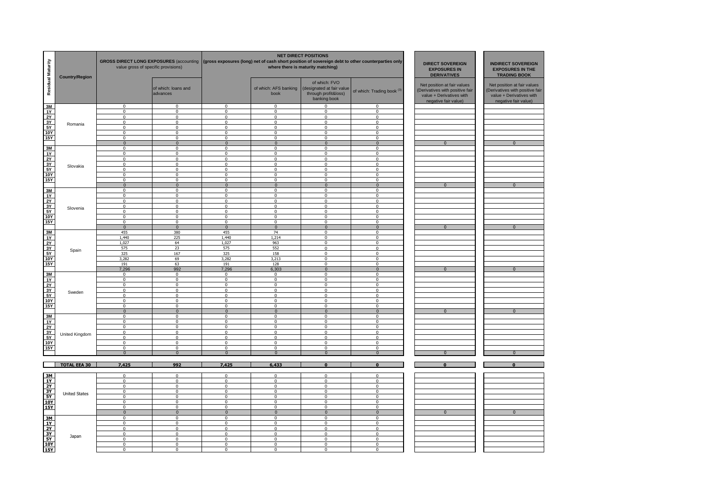| Residual Maturity                                                                                                            | <b>Country/Region</b> | GROSS DIRECT LONG EXPOSURES (accounting (gross exposures (long) net of cash short position of sovereign debt to other counterparties only<br>value gross of specific provisions) |                                 |                            |                               | <b>NET DIRECT POSITIONS</b><br>where there is maturity matching)                   | <b>DIRECT SOVEREIGN</b><br><b>EXPOSURES IN</b><br><b>DERIVATIVES</b> | <b>INDIRECT SOVEREIGN</b><br><b>EXPOSURES IN THE</b><br><b>TRADING BOOK</b>                                        |                                                                                                                   |
|------------------------------------------------------------------------------------------------------------------------------|-----------------------|----------------------------------------------------------------------------------------------------------------------------------------------------------------------------------|---------------------------------|----------------------------|-------------------------------|------------------------------------------------------------------------------------|----------------------------------------------------------------------|--------------------------------------------------------------------------------------------------------------------|-------------------------------------------------------------------------------------------------------------------|
|                                                                                                                              |                       |                                                                                                                                                                                  | of which: loans and<br>advances |                            | of which: AFS banking<br>book | of which: FVO<br>(designated at fair value<br>through profit&loss)<br>banking book | of which: Trading book <sup>(3)</sup>                                | Net position at fair values<br>(Derivatives with positive fair<br>value + Derivatives with<br>negative fair value) | Net position at fair values<br>Derivatives with positive fair<br>value + Derivatives with<br>negative fair value) |
| $\begin{array}{c}\n\hline\n3M \\ \hline\n1Y \\ \hline\n2Y \\ \hline\n3Y \\ \hline\n5Y \\ \hline\n10Y \\ \hline\n\end{array}$ |                       | $\mathbf 0$                                                                                                                                                                      | $\Omega$                        | $\mathbf 0$                | $\mathbf 0$                   | $\Omega$                                                                           | $\mathbf 0$                                                          |                                                                                                                    |                                                                                                                   |
|                                                                                                                              |                       | $\mathbf 0$                                                                                                                                                                      | $\mathbf 0$                     | $\mathbf 0$                | $\mathbf 0$                   | 0                                                                                  | $\mathbf 0$                                                          |                                                                                                                    |                                                                                                                   |
|                                                                                                                              |                       | $\mathbf 0$                                                                                                                                                                      | $\Omega$                        | $\mathbf 0$                | 0                             | 0                                                                                  | $\mathsf 0$                                                          |                                                                                                                    |                                                                                                                   |
|                                                                                                                              | Romania               | $\mathbf 0$                                                                                                                                                                      | $\Omega$                        | $\mathbf 0$                | 0                             | $\mathsf 0$                                                                        | $\mathsf 0$                                                          |                                                                                                                    |                                                                                                                   |
|                                                                                                                              |                       | $\mathbf 0$                                                                                                                                                                      | $\mathbf 0$                     | $\mathbf 0$                | 0                             | $\mathbf 0$                                                                        | $\mathbf 0$                                                          |                                                                                                                    |                                                                                                                   |
|                                                                                                                              |                       | $\overline{0}$                                                                                                                                                                   | $\Omega$                        | $\Omega$                   | $\Omega$                      | $\Omega$                                                                           | $\Omega$                                                             |                                                                                                                    |                                                                                                                   |
| 15Y                                                                                                                          |                       | $\Omega$                                                                                                                                                                         | $\Omega$                        | $\Omega$                   | $\Omega$                      | $\Omega$                                                                           | $\Omega$                                                             |                                                                                                                    |                                                                                                                   |
|                                                                                                                              |                       | $\mathbf{0}$                                                                                                                                                                     | $\mathbf{0}$                    | $\mathbf{0}$               | $\mathbf{0}$                  | $\mathbf{0}$                                                                       | $\mathbf{0}$                                                         | $\overline{0}$                                                                                                     | $\overline{0}$                                                                                                    |
|                                                                                                                              |                       | $\mathbf 0$                                                                                                                                                                      | $\mathbf 0$                     | $\mathbf 0$                | $\mathbf 0$                   | $\mathbf 0$                                                                        | $\mathbf 0$                                                          |                                                                                                                    |                                                                                                                   |
|                                                                                                                              |                       | $\mathbf 0$                                                                                                                                                                      | $\mathbf 0$                     | $\mathbf 0$                | $\mathbf 0$                   | $\mathbf 0$                                                                        | $\mathbf 0$                                                          |                                                                                                                    |                                                                                                                   |
|                                                                                                                              |                       | $\mathbf{0}$                                                                                                                                                                     | $\mathbf 0$                     | $\mathbf 0$                | 0                             | $\mathbf{0}$                                                                       | $\mathbf 0$                                                          |                                                                                                                    |                                                                                                                   |
|                                                                                                                              | Slovakia              | $\mathbf 0$                                                                                                                                                                      | $\mathbf 0$                     | $\mathbf 0$                | $\mathbf 0$                   | $\mathbf 0$                                                                        | $\mathbf{0}$                                                         |                                                                                                                    |                                                                                                                   |
|                                                                                                                              |                       | 0                                                                                                                                                                                | $\mathbf 0$                     | $\mathbf 0$                | $\mathbf 0$                   | $\mathbf 0$                                                                        | $\overline{0}$                                                       |                                                                                                                    |                                                                                                                   |
|                                                                                                                              |                       | $\mathsf 0$                                                                                                                                                                      | $\mathbf{0}$                    | $\mathsf 0$                | $\mathbf 0$                   | $\mathbf 0$                                                                        | $\mathbf 0$                                                          |                                                                                                                    |                                                                                                                   |
|                                                                                                                              |                       | $\Omega$                                                                                                                                                                         | $\mathbf 0$                     | $\mathbf 0$                | 0                             | $\Omega$                                                                           | $\mathsf 0$                                                          |                                                                                                                    |                                                                                                                   |
|                                                                                                                              |                       | $\mathbf{0}$                                                                                                                                                                     | $\Omega$                        | $\mathbf{0}$               | $\mathbf{0}$                  | $\mathbf{0}$                                                                       | $\mathbf{0}$                                                         | $\overline{0}$                                                                                                     | $\overline{0}$                                                                                                    |
| <u> ) 서 시 시 시 시 시 시 시 시</u><br>10<br>10 시 시 시 시 시 시 시 시 시 시 시 시                                                              |                       | $\mathbf 0$                                                                                                                                                                      | $\mathbf 0$                     | $\mathbf 0$                | $\mathbf 0$                   | $\mathbf{0}$                                                                       | $\mathbf 0$                                                          |                                                                                                                    |                                                                                                                   |
|                                                                                                                              |                       | $\Omega$                                                                                                                                                                         | $\mathbf 0$                     | $\mathbf 0$                | $\mathbf 0$                   | $\mathbf 0$                                                                        | $\mathbf 0$                                                          |                                                                                                                    |                                                                                                                   |
|                                                                                                                              |                       | $\mathbf 0$                                                                                                                                                                      | $\mathbf 0$                     | $\mathbf 0$                | $\mathsf 0$                   | $\mathsf 0$                                                                        | $\mathsf 0$                                                          |                                                                                                                    |                                                                                                                   |
|                                                                                                                              | Slovenia              | $\mathbf 0$                                                                                                                                                                      | $\mathbf 0$                     | $\mathbf 0$                | 0                             | 0                                                                                  | $\mathbf 0$                                                          |                                                                                                                    |                                                                                                                   |
|                                                                                                                              |                       | $\Omega$                                                                                                                                                                         | $\Omega$                        | $\mathbf 0$                | $\mathbf 0$                   | 0                                                                                  | $\mathbf 0$                                                          |                                                                                                                    |                                                                                                                   |
|                                                                                                                              |                       | $\mathbf 0$                                                                                                                                                                      | $\Omega$                        | $\mathbf 0$                | $\mathbf 0$                   | 0                                                                                  | $\,0\,$                                                              |                                                                                                                    |                                                                                                                   |
| <b>15Y</b>                                                                                                                   |                       | $\overline{0}$                                                                                                                                                                   | $\mathbf 0$                     | $\mathbf 0$                | $\mathsf 0$                   | $\mathbf 0$                                                                        | $\mathsf 0$                                                          |                                                                                                                    |                                                                                                                   |
|                                                                                                                              |                       | $\overline{0}$                                                                                                                                                                   | $\overline{0}$                  | $\overline{0}$             | $\overline{0}$                | $\overline{0}$                                                                     | $\overline{0}$                                                       | $\overline{0}$                                                                                                     | $\overline{0}$                                                                                                    |
|                                                                                                                              |                       | 455                                                                                                                                                                              | 380                             | 455                        | 74                            | $\mathbf 0$                                                                        | $\mathbf 0$                                                          |                                                                                                                    |                                                                                                                   |
|                                                                                                                              |                       | 1.440                                                                                                                                                                            | 225                             | 1,440                      | 1.214                         | $\mathbf{0}$                                                                       | $\mathbf 0$                                                          |                                                                                                                    |                                                                                                                   |
|                                                                                                                              | Spain                 | 1,027                                                                                                                                                                            | 64                              | 1,027                      | 963                           | $\mathbf 0$                                                                        | $\mathbf 0$                                                          |                                                                                                                    |                                                                                                                   |
|                                                                                                                              |                       | 575                                                                                                                                                                              | 23                              | 575                        | 552                           | 0                                                                                  | $\mathsf 0$                                                          |                                                                                                                    |                                                                                                                   |
|                                                                                                                              |                       | 325                                                                                                                                                                              | 167                             | 325                        | 158                           | $\mathbf 0$                                                                        | $\mathbf{0}$                                                         |                                                                                                                    |                                                                                                                   |
|                                                                                                                              |                       | 3,282                                                                                                                                                                            | 69                              | 3,282                      | 3,213                         | $\mathbf{0}$                                                                       | $\mathbf 0$                                                          |                                                                                                                    |                                                                                                                   |
|                                                                                                                              |                       | 191                                                                                                                                                                              | 63                              | 191                        | 128                           | $\Omega$                                                                           | $\mathbf{0}$                                                         |                                                                                                                    |                                                                                                                   |
|                                                                                                                              |                       | 7,296                                                                                                                                                                            | 992                             | 7,296                      | 6,303                         | $\mathbf{0}$                                                                       | $\overline{0}$                                                       | $\overline{0}$                                                                                                     | $\overline{0}$                                                                                                    |
|                                                                                                                              |                       | $\overline{0}$                                                                                                                                                                   | $\mathbf{0}$                    | $\overline{0}$             | $\mathbf{0}$                  | $\mathbf 0$                                                                        | $\overline{0}$                                                       |                                                                                                                    |                                                                                                                   |
|                                                                                                                              |                       | $\mathsf 0$                                                                                                                                                                      | $\mathbf 0$                     | $\mathsf 0$                | $\mathsf 0$                   | $\Omega$                                                                           | $\mathsf 0$                                                          |                                                                                                                    |                                                                                                                   |
|                                                                                                                              |                       | $\mathbf 0$                                                                                                                                                                      | $\mathbf 0$                     | $\mathbf 0$                | $\mathbf 0$                   | $\Omega$                                                                           | $\mathbf 0$                                                          |                                                                                                                    |                                                                                                                   |
|                                                                                                                              | Sweden                | $\mathsf 0$<br>$\Omega$                                                                                                                                                          | $\mathsf 0$                     | $\mathbf 0$                | $\mathsf 0$                   | $\mathsf 0$                                                                        | $\mathbf 0$                                                          |                                                                                                                    |                                                                                                                   |
|                                                                                                                              |                       |                                                                                                                                                                                  | $\mathbf 0$                     | $\mathbf 0$                | $\mathsf 0$                   | $\mathsf 0$                                                                        | $\mathbf 0$                                                          |                                                                                                                    |                                                                                                                   |
|                                                                                                                              |                       | $\mathbf 0$<br>$\mathbf 0$                                                                                                                                                       | $\mathbf 0$<br>$\Omega$         | $\mathbf 0$<br>$\mathbf 0$ | $\mathbf 0$<br>0              | $\mathbf 0$<br>0                                                                   | $\mathbf 0$<br>$\mathsf 0$                                           |                                                                                                                    |                                                                                                                   |
|                                                                                                                              |                       | $\overline{0}$                                                                                                                                                                   | $\overline{0}$                  | $\overline{0}$             | $\overline{0}$                | $\overline{0}$                                                                     | $\overline{0}$                                                       | $\overline{0}$                                                                                                     | $\overline{0}$                                                                                                    |
|                                                                                                                              |                       | $\Omega$                                                                                                                                                                         | $\Omega$                        | $\mathbf 0$                | $\mathbf 0$                   | $\Omega$                                                                           | $\mathbf 0$                                                          |                                                                                                                    |                                                                                                                   |
| $\begin{array}{r}\n 3M \\  1Y \\  2Y \\  3Y \\  5Y \\  10Y \\  15Y\n\end{array}$                                             |                       | $\Omega$                                                                                                                                                                         | $\Omega$                        | $\mathbf 0$                | $\mathsf 0$                   | $\Omega$                                                                           | $\mathsf 0$                                                          |                                                                                                                    |                                                                                                                   |
|                                                                                                                              |                       | $\mathbf 0$                                                                                                                                                                      | $\mathbf 0$                     | $\mathbf 0$                | $\mathbf 0$                   | $\mathbf{0}$                                                                       | $\mathbf 0$                                                          |                                                                                                                    |                                                                                                                   |
|                                                                                                                              |                       | $\mathbf 0$                                                                                                                                                                      | $\mathbf 0$                     | $\mathbf 0$                | $\mathbf 0$                   | $\mathbf{0}$                                                                       | $\mathbf 0$                                                          |                                                                                                                    |                                                                                                                   |
|                                                                                                                              | United Kingdom        | $\mathsf 0$                                                                                                                                                                      | $\mathsf 0$                     | $\mathbf 0$                | $\mathbf 0$                   | $\mathbf 0$                                                                        | $\mathbf 0$                                                          |                                                                                                                    |                                                                                                                   |
|                                                                                                                              |                       | $\mathbf{0}$                                                                                                                                                                     | $\mathbf 0$                     | $\mathbf 0$                | $\mathbf 0$                   | $\mathbf 0$                                                                        | $\mathbf 0$                                                          |                                                                                                                    |                                                                                                                   |
|                                                                                                                              |                       | $\overline{0}$                                                                                                                                                                   | $\mathbf 0$                     | $\mathbf 0$                | $\mathbf 0$                   | $\mathbf 0$                                                                        | $\mathsf 0$                                                          |                                                                                                                    |                                                                                                                   |
|                                                                                                                              |                       | $\overline{0}$                                                                                                                                                                   | $\overline{0}$                  | $\overline{0}$             | $\Omega$                      | $\overline{0}$                                                                     | $\overline{0}$                                                       | $\overline{0}$                                                                                                     | $\overline{0}$                                                                                                    |
|                                                                                                                              |                       |                                                                                                                                                                                  |                                 |                            |                               |                                                                                    |                                                                      |                                                                                                                    |                                                                                                                   |
|                                                                                                                              | <b>TOTAL EEA 30</b>   | 7,425                                                                                                                                                                            | 992                             | 7.425                      | 6,433                         | $\overline{\mathbf{0}}$                                                            | $\overline{\mathbf{0}}$                                              | $\overline{\mathbf{0}}$                                                                                            | $\overline{\mathbf{0}}$                                                                                           |
|                                                                                                                              |                       |                                                                                                                                                                                  |                                 |                            |                               |                                                                                    |                                                                      |                                                                                                                    |                                                                                                                   |
| 13 3 3 3 3 3                                                                                                                 |                       | $\overline{0}$                                                                                                                                                                   | $\overline{0}$                  | $\overline{0}$             | $\overline{0}$                | $\overline{0}$                                                                     | $\overline{0}$                                                       |                                                                                                                    |                                                                                                                   |
|                                                                                                                              |                       | $\overline{0}$                                                                                                                                                                   | $\mathbf 0$                     | $\mathbf 0$                | $\mathbf 0$                   | $\mathbf{0}$                                                                       | $\mathbf{0}$                                                         |                                                                                                                    |                                                                                                                   |
|                                                                                                                              |                       | $\mathbf 0$                                                                                                                                                                      | $\mathbf 0$                     | $\mathbf 0$                | $\mathbf 0$                   | $\mathbf{0}$                                                                       | $\mathbf 0$                                                          |                                                                                                                    |                                                                                                                   |
|                                                                                                                              | <b>United States</b>  | $\mathbf 0$                                                                                                                                                                      | $\mathbf{0}$                    | $\mathsf 0$                | $\mathbf 0$                   | $\mathbf 0$                                                                        | $\mathbf{0}$                                                         |                                                                                                                    |                                                                                                                   |
|                                                                                                                              |                       | $\mathbf 0$                                                                                                                                                                      | $\mathbf 0$                     | $\mathsf 0$                | $\mathbf 0$                   | $\mathbf 0$                                                                        | $\mathbf 0$                                                          |                                                                                                                    |                                                                                                                   |
|                                                                                                                              |                       | $\mathbf{0}$                                                                                                                                                                     | $\mathbf 0$                     | $\mathbf 0$                | $\mathbf 0$                   | $\mathbf 0$                                                                        | $\mathbf 0$                                                          |                                                                                                                    |                                                                                                                   |
|                                                                                                                              |                       | $\mathbf{0}$                                                                                                                                                                     | $\Omega$                        | 0                          | $\mathbf 0$                   | $\mathbf{0}$                                                                       | $\mathbf 0$                                                          |                                                                                                                    |                                                                                                                   |
|                                                                                                                              |                       | $\overline{0}$                                                                                                                                                                   | $\overline{0}$                  | $\overline{0}$             | $\overline{0}$                | $\overline{0}$                                                                     | $\overline{0}$                                                       | $\overline{0}$                                                                                                     | $\overline{0}$                                                                                                    |
|                                                                                                                              |                       | $\mathbf 0$                                                                                                                                                                      | $\mathbf 0$                     | $\mathbf 0$                | 0                             | 0                                                                                  | $\mathbf 0$                                                          |                                                                                                                    |                                                                                                                   |
|                                                                                                                              |                       | $\mathbf 0$                                                                                                                                                                      | $\Omega$                        | $\mathsf 0$                | $\mathbf 0$                   | $\mathbf 0$                                                                        | $\mathbf 0$                                                          |                                                                                                                    |                                                                                                                   |
|                                                                                                                              |                       | $\mathsf 0$                                                                                                                                                                      | $\mathbf 0$                     | $\mathbf 0$                | $\mathbf 0$                   | $\mathbf 0$                                                                        | $\overline{0}$                                                       |                                                                                                                    |                                                                                                                   |
|                                                                                                                              | Japan                 | $\Omega$                                                                                                                                                                         | $\Omega$                        | $\mathbf 0$                | $\mathsf 0$                   | $\mathbf 0$                                                                        | $\mathbf{0}$                                                         |                                                                                                                    |                                                                                                                   |
|                                                                                                                              |                       | $\mathbf 0$                                                                                                                                                                      | $\mathbf 0$                     | $\mathbf 0$                | $\mathbf 0$                   | $\mathbf 0$                                                                        | $\mathbf 0$                                                          |                                                                                                                    |                                                                                                                   |
|                                                                                                                              |                       | $\Omega$                                                                                                                                                                         | $\mathbf 0$                     | $\overline{0}$             | $\overline{0}$                | $\mathbf 0$                                                                        | $\overline{0}$                                                       |                                                                                                                    |                                                                                                                   |
|                                                                                                                              |                       | $\Omega$                                                                                                                                                                         | $\Omega$                        | $\Omega$                   | $\Omega$                      | $\Omega$                                                                           | $\Omega$                                                             |                                                                                                                    |                                                                                                                   |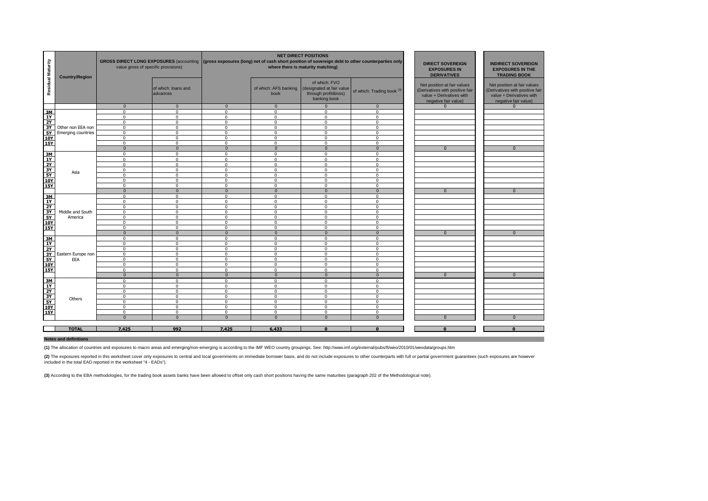| Residual Maturity                                                                                  | <b>Country/Region</b>     | GROSS DIRECT LONG EXPOSURES (accounting (gross exposures (long) net of cash short position of sovereign debt to other counterparties only<br>value gross of specific provisions) |                                 |                             |                         | <b>NET DIRECT POSITIONS</b><br>where there is maturity matching)                                          | <b>DIRECT SOVEREIGN</b><br><b>EXPOSURES IN</b><br><b>DERIVATIVES</b> | <b>INDIRECT SOVEREIGN</b><br><b>EXPOSURES IN THE</b><br><b>TRADING BOOK</b>                                        |                                                                                                                    |
|----------------------------------------------------------------------------------------------------|---------------------------|----------------------------------------------------------------------------------------------------------------------------------------------------------------------------------|---------------------------------|-----------------------------|-------------------------|-----------------------------------------------------------------------------------------------------------|----------------------------------------------------------------------|--------------------------------------------------------------------------------------------------------------------|--------------------------------------------------------------------------------------------------------------------|
|                                                                                                    |                           |                                                                                                                                                                                  | of which: loans and<br>advances |                             | book                    | of which: FVO<br>of which: AFS banking (designated at fair value)<br>through profit&loss)<br>banking book | of which: Trading book <sup>(3)</sup>                                | Net position at fair values<br>(Derivatives with positive fair<br>value + Derivatives with<br>negative fair value) | Net position at fair values<br>(Derivatives with positive fair<br>value + Derivatives with<br>negative fair value) |
|                                                                                                    |                           | $\Omega$                                                                                                                                                                         | $\mathbf{0}$                    | $\Omega$                    | $\Omega$                | $\overline{0}$                                                                                            | $\mathbf{0}$                                                         | $\Omega$                                                                                                           | $\Omega$                                                                                                           |
| 3M                                                                                                 |                           | $\Omega$                                                                                                                                                                         | $\Omega$                        | $\Omega$                    | $\Omega$                | $\Omega$                                                                                                  | $\Omega$                                                             |                                                                                                                    |                                                                                                                    |
| 1Y                                                                                                 |                           | $\mathbf 0$                                                                                                                                                                      | $\mathbf 0$                     | $\mathbf 0$                 | $\Omega$                | $\Omega$                                                                                                  | $\Omega$                                                             |                                                                                                                    |                                                                                                                    |
| $\frac{2Y}{3Y}$                                                                                    |                           | $\Omega$                                                                                                                                                                         | $\Omega$                        | $\Omega$                    | $\Omega$                | $\Omega$                                                                                                  | $\mathbf{0}$                                                         |                                                                                                                    |                                                                                                                    |
|                                                                                                    | Other non EEA non         | $\Omega$                                                                                                                                                                         | $\mathbf 0$                     | $\Omega$                    | $\Omega$                | $\Omega$                                                                                                  | $\mathbf 0$                                                          |                                                                                                                    |                                                                                                                    |
| $rac{5Y}{10Y}$                                                                                     | <b>Emerging countries</b> | $\mathsf 0$                                                                                                                                                                      | $\mathbf 0$                     | $\mathbf 0$                 | $\Omega$                | $\mathbf 0$                                                                                               | $\mathbf 0$                                                          |                                                                                                                    |                                                                                                                    |
|                                                                                                    |                           | $\mathbf 0$                                                                                                                                                                      | $\Omega$                        | $\mathbf 0$                 | $\Omega$                | $\Omega$                                                                                                  | $\overline{0}$                                                       |                                                                                                                    |                                                                                                                    |
| <b>15Y</b>                                                                                         |                           | $\mathbf 0$                                                                                                                                                                      | $\mathbf 0$                     | $\mathbf 0$                 | $\mathbf 0$             | $\Omega$                                                                                                  | $\mathbf{0}$                                                         |                                                                                                                    |                                                                                                                    |
|                                                                                                    |                           | $\overline{0}$                                                                                                                                                                   | $\overline{0}$                  | $\mathbf{0}$                | $\mathbf{0}$            | $\mathbf 0$                                                                                               | $\mathbf{0}$                                                         | $\Omega$                                                                                                           | $\mathbf{0}$                                                                                                       |
| 3M                                                                                                 |                           | $\mathbf 0$                                                                                                                                                                      | $\mathbf 0$                     | $\mathbf 0$                 | $\Omega$                | $\mathbf 0$                                                                                               | $\mathbf 0$                                                          |                                                                                                                    |                                                                                                                    |
| 1Y                                                                                                 |                           | $\Omega$                                                                                                                                                                         | $\Omega$                        | $\Omega$                    | $\Omega$                | $\Omega$                                                                                                  | $\Omega$                                                             |                                                                                                                    |                                                                                                                    |
| $\begin{array}{r}\n\overline{2Y} \\ \overline{3Y} \\ \overline{5Y} \\ \overline{10Y}\n\end{array}$ |                           | $\Omega$                                                                                                                                                                         | $\Omega$                        | $^{\circ}$                  | $\Omega$                | $\Omega$                                                                                                  | $\mathbf 0$                                                          |                                                                                                                    |                                                                                                                    |
|                                                                                                    | Asia                      | $\mathbf 0$                                                                                                                                                                      | $\mathbf 0$                     | $\mathbf 0$                 | $\mathbf 0$             | $\mathbf 0$                                                                                               | $\mathbf 0$                                                          |                                                                                                                    |                                                                                                                    |
|                                                                                                    |                           | $\Omega$                                                                                                                                                                         | $\Omega$                        | $\Omega$                    | $\Omega$                | $\Omega$                                                                                                  | $\Omega$                                                             |                                                                                                                    |                                                                                                                    |
|                                                                                                    |                           | $\mathbf 0$                                                                                                                                                                      | $\mathbf 0$                     | $\mathbf 0$                 | $\mathbf 0$<br>$\Omega$ | $\mathbf 0$<br>$\Omega$                                                                                   | $\mathbf 0$                                                          |                                                                                                                    |                                                                                                                    |
| <b>15Y</b>                                                                                         |                           | $\Omega$                                                                                                                                                                         | $\Omega$<br>$\overline{0}$      | $\mathbf 0$<br>$\mathbf{0}$ | $\mathbf{0}$            |                                                                                                           | $\mathbf 0$<br>$\mathbf{0}$                                          | $\Omega$                                                                                                           | $\mathbf{0}$                                                                                                       |
|                                                                                                    |                           | $\mathbf 0$                                                                                                                                                                      |                                 | $\Omega$                    | $\Omega$                | $\mathbf 0$<br>$\Omega$                                                                                   |                                                                      |                                                                                                                    |                                                                                                                    |
| $\frac{3M}{1Y}$                                                                                    |                           | $\Omega$<br>$\mathbf 0$                                                                                                                                                          | $\Omega$<br>$\mathbf 0$         | $\mathbf 0$                 | $\mathbf 0$             | $\mathbf 0$                                                                                               | $\Omega$<br>$\mathsf 0$                                              |                                                                                                                    |                                                                                                                    |
|                                                                                                    |                           | $\mathbf 0$                                                                                                                                                                      | $\mathbf 0$                     | $\mathbf 0$                 | $\mathbf 0$             | $\mathbf 0$                                                                                               | $\mathbf 0$                                                          |                                                                                                                    |                                                                                                                    |
| $\begin{array}{r}\n 2Y \\  3Y \\  \hline\n 5Y\n \end{array}$                                       | Middle and South          | $\Omega$                                                                                                                                                                         | $\Omega$                        | $\Omega$                    | $\Omega$                | $\Omega$                                                                                                  | $\Omega$                                                             |                                                                                                                    |                                                                                                                    |
|                                                                                                    | America                   | $\mathbf 0$                                                                                                                                                                      | $\mathbf 0$                     | $\mathbf 0$                 | $\mathbf 0$             | $\mathbf 0$                                                                                               | $\mathbf{0}$                                                         |                                                                                                                    |                                                                                                                    |
|                                                                                                    |                           | $\mathbf 0$                                                                                                                                                                      | $^{\circ}$                      | $\mathbf 0$                 | $\Omega$                | $\Omega$                                                                                                  | $\mathbf 0$                                                          |                                                                                                                    |                                                                                                                    |
| 10Y<br>15Y                                                                                         |                           | $\Omega$                                                                                                                                                                         | $\Omega$                        | $\Omega$                    | $\Omega$                | $\Omega$                                                                                                  | $\Omega$                                                             |                                                                                                                    |                                                                                                                    |
|                                                                                                    |                           | $\mathbf{0}$                                                                                                                                                                     | $\mathbf{0}$                    | $\overline{0}$              | $\mathbf{0}$            | $\mathbf{0}$                                                                                              | $\mathbf{0}$                                                         | $\mathbf{0}$                                                                                                       | $\mathbf{0}$                                                                                                       |
|                                                                                                    |                           | $\overline{0}$                                                                                                                                                                   | $\overline{0}$                  | $\overline{0}$              | $\overline{0}$          | $\overline{0}$                                                                                            | $\overline{0}$                                                       |                                                                                                                    |                                                                                                                    |
| $\frac{3M}{1Y}$                                                                                    |                           | $\Omega$                                                                                                                                                                         | $\Omega$                        | $\Omega$                    | $\Omega$                | $\Omega$                                                                                                  | $\Omega$                                                             |                                                                                                                    |                                                                                                                    |
|                                                                                                    |                           | $\Omega$                                                                                                                                                                         | $\Omega$                        | $\mathbf 0$                 | $\Omega$                | $\Omega$                                                                                                  | $\Omega$                                                             |                                                                                                                    |                                                                                                                    |
| $rac{2Y}{3Y}$                                                                                      | Eastern Europe non        | $\mathbf 0$                                                                                                                                                                      | $\mathbf 0$                     | $\mathbf 0$                 | $\mathbf 0$             | $\mathbf 0$                                                                                               | $\mathbf 0$                                                          |                                                                                                                    |                                                                                                                    |
| <b>5Y</b>                                                                                          | EEA                       | $\Omega$                                                                                                                                                                         | $\Omega$                        | $\Omega$                    | $\Omega$                | $\Omega$                                                                                                  | $\Omega$                                                             |                                                                                                                    |                                                                                                                    |
| 10Y                                                                                                |                           | $\mathbf 0$                                                                                                                                                                      | $\mathbf 0$                     | $\mathbf{0}$                | $\Omega$                | $\mathbf 0$                                                                                               | $\mathbf{0}$                                                         |                                                                                                                    |                                                                                                                    |
| <b>15Y</b>                                                                                         |                           | $\mathbf 0$                                                                                                                                                                      | $\Omega$                        | $\mathbf 0$                 | $\Omega$                | $\Omega$                                                                                                  | $\mathbf 0$                                                          |                                                                                                                    |                                                                                                                    |
|                                                                                                    |                           | $\mathbf 0$                                                                                                                                                                      | $\mathbf{0}$                    | $\mathbf{0}$                | $\mathbf{0}$            | $\mathbf 0$                                                                                               | $\mathbf{0}$                                                         | $\mathbf{0}$                                                                                                       | $\mathbf{0}$                                                                                                       |
|                                                                                                    |                           | $\mathbf 0$                                                                                                                                                                      | $\mathbf 0$                     | $^{\circ}$                  | $\Omega$                | $\Omega$                                                                                                  | $\mathbf{0}$                                                         |                                                                                                                    |                                                                                                                    |
| $\frac{3M}{1Y}$                                                                                    |                           | $\mathbf 0$                                                                                                                                                                      | $\mathbf 0$                     | $\mathbf 0$                 | $\mathbf 0$             | $\mathbf 0$                                                                                               | $\mathbf 0$                                                          |                                                                                                                    |                                                                                                                    |
|                                                                                                    |                           | $\mathbf 0$                                                                                                                                                                      | $\mathbf 0$                     | $\mathbf 0$                 | $\mathbf 0$             | $\mathbf 0$                                                                                               | $\mathbf 0$                                                          |                                                                                                                    |                                                                                                                    |
| $\frac{2Y}{3Y}$ $\frac{3Y}{10Y}$ $\frac{5Y}{15Y}$                                                  | Others                    | $\Omega$                                                                                                                                                                         | $\Omega$                        | $\Omega$                    | $\Omega$                | $\Omega$                                                                                                  | $\Omega$                                                             |                                                                                                                    |                                                                                                                    |
|                                                                                                    |                           | $\mathbf 0$                                                                                                                                                                      | $\mathbf 0$                     | $\mathbf 0$                 | $\mathbf 0$             | $\mathbf 0$                                                                                               | $\mathbf 0$                                                          |                                                                                                                    |                                                                                                                    |
|                                                                                                    |                           | $\Omega$                                                                                                                                                                         | $\Omega$                        | $\Omega$                    | $\Omega$                | $\Omega$                                                                                                  | $\Omega$                                                             |                                                                                                                    |                                                                                                                    |
|                                                                                                    |                           | $\Omega$                                                                                                                                                                         | $\Omega$                        | $\Omega$                    | $\Omega$                | $\Omega$                                                                                                  | $\Omega$                                                             |                                                                                                                    |                                                                                                                    |
|                                                                                                    |                           | $\mathbf{0}$                                                                                                                                                                     | $\mathbf{0}$                    | $\Omega$                    | $\mathbf{0}$            | $\mathbf{0}$                                                                                              | $\mathbf{0}$                                                         | $\Omega$                                                                                                           | $\Omega$                                                                                                           |
|                                                                                                    |                           |                                                                                                                                                                                  |                                 |                             |                         |                                                                                                           |                                                                      |                                                                                                                    |                                                                                                                    |
|                                                                                                    | <b>TOTAL</b>              | 7.425                                                                                                                                                                            | 992                             | 7.425                       | 6,433                   | $\Omega$                                                                                                  | $\Omega$                                                             | $\Omega$                                                                                                           | $\Omega$                                                                                                           |

#### **Notes and definitions**

**(1)** The allocation of countries and exposures to macro areas and emerging/non-emerging is according to the IMF WEO country groupings. See: http://www.imf.org/external/pubs/ft/weo/2010/01/weodata/groups.htm

(2) The exposures reported in this worksheet cover only exposures to central and local governments on immediate borrower basis, and do not include exposures to other counterparts with full or partial government guarantees included in the total EAD reported in the worksheet "4 - EADs").

**(3)** According to the EBA methodologies, for the trading book assets banks have been allowed to offset only cash short positions having the same maturities (paragraph 202 of the Methodological note).